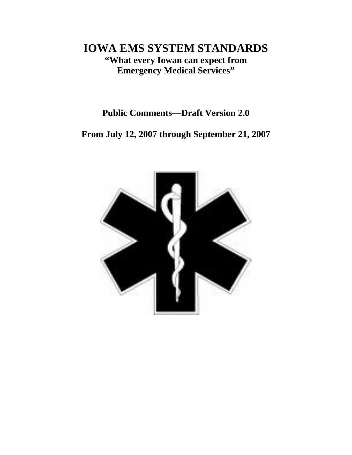# **IOWA EMS SYSTEM STANDARDS "What every Iowan can expect from Emergency Medical Services"**

## **Public Comments—Draft Version 2.0**

**From July 12, 2007 through September 21, 2007** 

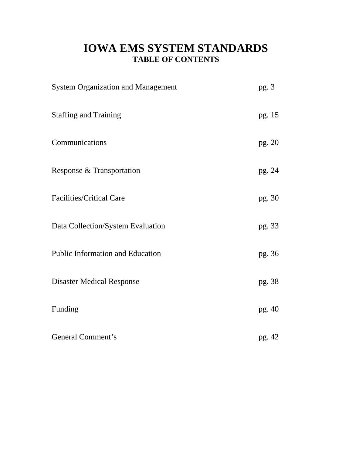# **IOWA EMS SYSTEM STANDARDS TABLE OF CONTENTS**

| <b>System Organization and Management</b> | pg. 3    |
|-------------------------------------------|----------|
| <b>Staffing and Training</b>              | pg. 15   |
| Communications                            | pg. $20$ |
| Response & Transportation                 | pg. 24   |
| <b>Facilities/Critical Care</b>           | pg. 30   |
| Data Collection/System Evaluation         | pg. 33   |
| <b>Public Information and Education</b>   | pg. 36   |
| <b>Disaster Medical Response</b>          | pg. 38   |
| Funding                                   | pg. 40   |
| General Comment's                         | pg. 42   |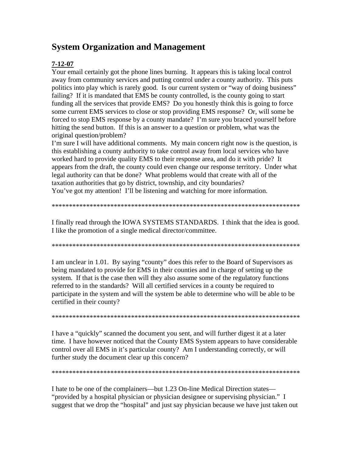## **System Organization and Management**

## **7-12-07**

Your email certainly got the phone lines burning. It appears this is taking local control away from community services and putting control under a county authority. This puts politics into play which is rarely good. Is our current system or "way of doing business" failing? If it is mandated that EMS be county controlled, is the county going to start funding all the services that provide EMS? Do you honestly think this is going to force some current EMS services to close or stop providing EMS response? Or, will some be forced to stop EMS response by a county mandate? I'm sure you braced yourself before hitting the send button. If this is an answer to a question or problem, what was the original question/problem?

I'm sure I will have additional comments. My main concern right now is the question, is this establishing a county authority to take control away from local services who have worked hard to provide quality EMS to their response area, and do it with pride? It appears from the draft, the county could even change our response territory. Under what legal authority can that be done? What problems would that create with all of the taxation authorities that go by district, township, and city boundaries? You've got my attention! I'll be listening and watching for more information.

\*\*\*\*\*\*\*\*\*\*\*\*\*\*\*\*\*\*\*\*\*\*\*\*\*\*\*\*\*\*\*\*\*\*\*\*\*\*\*\*\*\*\*\*\*\*\*\*\*\*\*\*\*\*\*\*\*\*\*\*\*\*\*\*\*\*\*\*\*\*\*\*

I finally read through the IOWA SYSTEMS STANDARDS. I think that the idea is good. I like the promotion of a single medical director/committee.

\*\*\*\*\*\*\*\*\*\*\*\*\*\*\*\*\*\*\*\*\*\*\*\*\*\*\*\*\*\*\*\*\*\*\*\*\*\*\*\*\*\*\*\*\*\*\*\*\*\*\*\*\*\*\*\*\*\*\*\*\*\*\*\*\*\*\*\*\*\*\*\*

I am unclear in 1.01. By saying "county" does this refer to the Board of Supervisors as being mandated to provide for EMS in their counties and in charge of setting up the system. If that is the case then will they also assume some of the regulatory functions referred to in the standards? Will all certified services in a county be required to participate in the system and will the system be able to determine who will be able to be certified in their county?

\*\*\*\*\*\*\*\*\*\*\*\*\*\*\*\*\*\*\*\*\*\*\*\*\*\*\*\*\*\*\*\*\*\*\*\*\*\*\*\*\*\*\*\*\*\*\*\*\*\*\*\*\*\*\*\*\*\*\*\*\*\*\*\*\*\*\*\*\*\*\*\*

I have a "quickly" scanned the document you sent, and will further digest it at a later time. I have however noticed that the County EMS System appears to have considerable control over all EMS in it's particular county? Am I understanding correctly, or will further study the document clear up this concern?

\*\*\*\*\*\*\*\*\*\*\*\*\*\*\*\*\*\*\*\*\*\*\*\*\*\*\*\*\*\*\*\*\*\*\*\*\*\*\*\*\*\*\*\*\*\*\*\*\*\*\*\*\*\*\*\*\*\*\*\*\*\*\*\*\*\*\*\*\*\*\*\*

I hate to be one of the complainers—but 1.23 On-line Medical Direction states— "provided by a hospital physician or physician designee or supervising physician." I suggest that we drop the "hospital" and just say physician because we have just taken out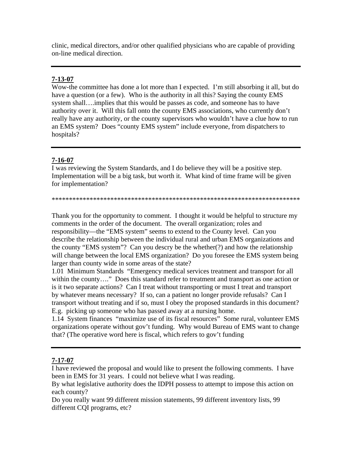clinic, medical directors, and/or other qualified physicians who are capable of providing on-line medical direction.

## **7-13-07**

Wow-the committee has done a lot more than I expected. I'm still absorbing it all, but do have a question (or a few). Who is the authority in all this? Saying the county EMS system shall….implies that this would be passes as code, and someone has to have authority over it. Will this fall onto the county EMS associations, who currently don't really have any authority, or the county supervisors who wouldn't have a clue how to run an EMS system? Does "county EMS system" include everyone, from dispatchers to hospitals?

## **7-16-07**

I was reviewing the System Standards, and I do believe they will be a positive step. Implementation will be a big task, but worth it. What kind of time frame will be given for implementation?

\*\*\*\*\*\*\*\*\*\*\*\*\*\*\*\*\*\*\*\*\*\*\*\*\*\*\*\*\*\*\*\*\*\*\*\*\*\*\*\*\*\*\*\*\*\*\*\*\*\*\*\*\*\*\*\*\*\*\*\*\*\*\*\*\*\*\*\*\*\*\*\*

Thank you for the opportunity to comment. I thought it would be helpful to structure my comments in the order of the document. The overall organization; roles and responsibility—the "EMS system" seems to extend to the County level. Can you describe the relationship between the individual rural and urban EMS organizations and the county "EMS system"? Can you descry be the whether(?) and how the relationship will change between the local EMS organization? Do you foresee the EMS system being larger than county wide in some areas of the state?

1.01 Minimum Standards "Emergency medical services treatment and transport for all within the county...." Does this standard refer to treatment and transport as one action or is it two separate actions? Can I treat without transporting or must I treat and transport by whatever means necessary? If so, can a patient no longer provide refusals? Can I transport without treating and if so, must I obey the proposed standards in this document? E.g. picking up someone who has passed away at a nursing home.

1.14 System finances "maximize use of its fiscal resources" Some rural, volunteer EMS organizations operate without gov't funding. Why would Bureau of EMS want to change that? (The operative word here is fiscal, which refers to gov't funding

## **7-17-07**

I have reviewed the proposal and would like to present the following comments. I have been in EMS for 31 years. I could not believe what I was reading.

By what legislative authority does the IDPH possess to attempt to impose this action on each county?

Do you really want 99 different mission statements, 99 different inventory lists, 99 different CQI programs, etc?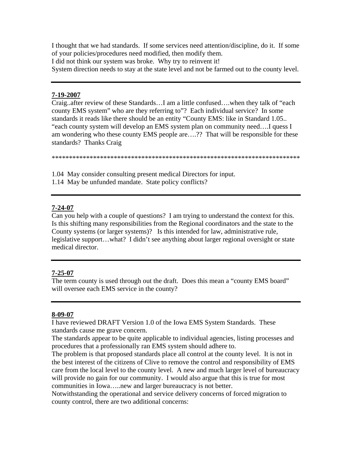I thought that we had standards. If some services need attention/discipline, do it. If some of your policies/procedures need modified, then modify them. I did not think our system was broke. Why try to reinvent it! System direction needs to stay at the state level and not be farmed out to the county level.

#### **7-19-2007**

Craig..after review of these Standards…I am a little confused….when they talk of "each county EMS system" who are they referring to"? Each individual service? In some standards it reads like there should be an entity "County EMS: like in Standard 1.05.. "each county system will develop an EMS system plan on community need….I quess I am wondering who these county EMS people are….?? That will be responsible for these standards? Thanks Craig

\*\*\*\*\*\*\*\*\*\*\*\*\*\*\*\*\*\*\*\*\*\*\*\*\*\*\*\*\*\*\*\*\*\*\*\*\*\*\*\*\*\*\*\*\*\*\*\*\*\*\*\*\*\*\*\*\*\*\*\*\*\*\*\*\*\*\*\*\*\*\*\*

1.04 May consider consulting present medical Directors for input.

1.14 May be unfunded mandate. State policy conflicts?

## **7-24-07**

Can you help with a couple of questions? I am trying to understand the context for this. Is this shifting many responsibilities from the Regional coordinators and the state to the County systems (or larger systems)? Is this intended for law, administrative rule, legislative support…what? I didn't see anything about larger regional oversight or state medical director.

#### **7-25-07**

The term county is used through out the draft. Does this mean a "county EMS board" will oversee each EMS service in the county?

#### **8-09-07**

I have reviewed DRAFT Version 1.0 of the Iowa EMS System Standards. These standards cause me grave concern.

The standards appear to be quite applicable to individual agencies, listing processes and procedures that a professionally ran EMS system should adhere to.

The problem is that proposed standards place all control at the county level. It is not in the best interest of the citizens of Clive to remove the control and responsibility of EMS care from the local level to the county level. A new and much larger level of bureaucracy will provide no gain for our community. I would also argue that this is true for most communities in Iowa…..new and larger bureaucracy is not better.

Notwithstanding the operational and service delivery concerns of forced migration to county control, there are two additional concerns: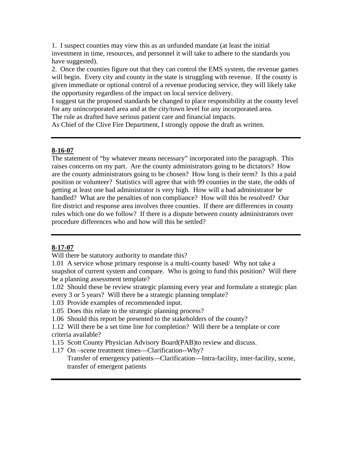1. I suspect counties may view this as an unfunded mandate (at least the initial investment in time, resources, and personnel it will take to adhere to the standards you have suggested).

2. Once the counties figure out that they can control the EMS system, the revenue games will begin. Every city and county in the state is struggling with revenue. If the county is given immediate or optional control of a revenue producing service, they will likely take the opportunity regardless of the impact on local service delivery.

I suggest tat the proposed standards be changed to place responsibility at the county level for any unincorporated area and at the city/town level for any incorporated area.

The rule as drafted have serious patient care and financial impacts.

As Chief of the Clive Fire Department, I strongly oppose the draft as written.

#### **8-16-07**

The statement of "by whatever means necessary" incorporated into the paragraph. This raises concerns on my part. Are the county administrators going to be dictators? How are the county administrators going to be chosen? How long is their term? Is this a paid position or volunteer? Statistics will agree that with 99 counties in the state, the odds of getting at least one bad administrator is very high. How will a bad administrator be handled? What are the penalties of non compliance? How will this be resolved? Our fire district and response area involves three counties. If there are differences in county rules which one do we follow? If there is a dispute between county administrators over procedure differences who and how will this be settled?

## **8-17-07**

Will there be statutory authority to mandate this?

1.01 A service whose primary response is a multi-county based/ Why not take a snapshot of current system and compare. Who is going to fund this position? Will there be a planning assessment template?

- 1.02 Should these be review strategic planning every year and formulate a strategic plan every 3 or 5 years? Will there be a strategic planning template?
- 1.03 Provide examples of recommended input.

1.05 Does this relate to the strategic planning process?

- 1.06 Should this report be presented to the stakeholders of the county?
- 1.12 Will there be a set time line for completion? Will there be a template or core criteria available?
- 1.15 Scott County Physician Advisory Board(PAB)to review and discuss.
- 1.17 On –scene treatment times—Clarification--Why?
	- Transfer of emergency patients—Clarification—Intra-facility, inter-facility, scene, transfer of emergent patients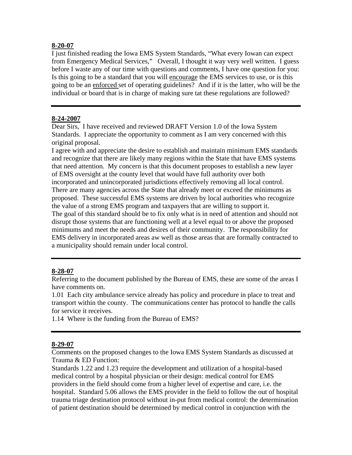#### **8-20-07**

I just finished reading the Iowa EMS System Standards, "What every Iowan can expect from Emergency Medical Services," Overall, I thought it way very well written. I guess before I waste any of our time with questions and comments, I have one question for you: Is this going to be a standard that you will encourage the EMS services to use, or is this going to be an enforced set of operating guidelines? And if it is the latter, who will be the individual or board that is in charge of making sure tat these regulations are followed?

#### **8-24-2007**

Dear Sirs, I have received and reviewed DRAFT Version 1.0 of the Iowa System Standards. I appreciate the opportunity to comment as I am very concerned with this original proposal.

I agree with and appreciate the desire to establish and maintain minimum EMS standards and recognize that there are likely many regions within the State that have EMS systems that need attention. My concern is that this document proposes to establish a new layer of EMS oversight at the county level that would have full authority over both incorporated and unincorporated jurisdictions effectively removing all local control. There are many agencies across the State that already meet or exceed the minimums as proposed. These successful EMS systems are driven by local authorities who recognize the value of a strong EMS program and taxpayers that are willing to support it. The goal of this standard should be to fix only what is in need of attention and should not disrupt those systems that are functioning well at a level equal to or above the proposed minimums and meet the needs and desires of their community. The responsibility for EMS delivery in incorporated areas aw well as those areas that are formally contracted to a municipality should remain under local control.

## **8-28-07**

Referring to the document published by the Bureau of EMS, these are some of the areas I have comments on.

1.01 Each city ambulance service already has policy and procedure in place to treat and transport within the county. The communications center has protocol to handle the calls for service it receives.

1.14 Where is the funding from the Bureau of EMS?

## **8-29-07**

Comments on the proposed changes to the Iowa EMS System Standards as discussed at Trauma & ED Function:

Standards 1.22 and 1.23 require the development and utilization of a hospital-based medical control by a hospital physician or their design: medical control for EMS providers in the field should come from a higher level of expertise and care, i.e. the hospital. Standard 5.06 allows the EMS provider in the field to follow the out of hospital trauma triage destination protocol without in-put from medical control: the determination of patient destination should be determined by medical control in conjunction with the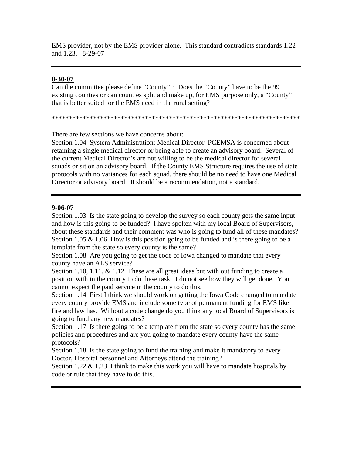EMS provider, not by the EMS provider alone. This standard contradicts standards 1.22 and 1.23. 8-29-07

#### **8-30-07**

Can the committee please define "County" ? Does the "County" have to be the 99 existing counties or can counties split and make up, for EMS purpose only, a "County" that is better suited for the EMS need in the rural setting?

\*\*\*\*\*\*\*\*\*\*\*\*\*\*\*\*\*\*\*\*\*\*\*\*\*\*\*\*\*\*\*\*\*\*\*\*\*\*\*\*\*\*\*\*\*\*\*\*\*\*\*\*\*\*\*\*\*\*\*\*\*\*\*\*\*\*\*\*\*\*\*\*

There are few sections we have concerns about:

Section 1.04 System Administration: Medical Director PCEMSA is concerned about retaining a single medical director or being able to create an advisory board. Several of the current Medical Director's are not willing to be the medical director for several squads or sit on an advisory board. If the County EMS Structure requires the use of state protocols with no variances for each squad, there should be no need to have one Medical Director or advisory board. It should be a recommendation, not a standard.

#### **9-06-07**

Section 1.03 Is the state going to develop the survey so each county gets the same input and how is this going to be funded? I have spoken with my local Board of Supervisors, about these standards and their comment was who is going to fund all of these mandates? Section 1.05  $\&$  1.06 How is this position going to be funded and is there going to be a template from the state so every county is the same?

Section 1.08 Are you going to get the code of Iowa changed to mandate that every county have an ALS service?

Section 1.10, 1.11, & 1.12 These are all great ideas but with out funding to create a position with in the county to do these task. I do not see how they will get done. You cannot expect the paid service in the county to do this.

Section 1.14 First I think we should work on getting the Iowa Code changed to mandate every county provide EMS and include some type of permanent funding for EMS like fire and law has. Without a code change do you think any local Board of Supervisors is going to fund any new mandates?

Section 1.17 Is there going to be a template from the state so every county has the same policies and procedures and are you going to mandate every county have the same protocols?

Section 1.18 Is the state going to fund the training and make it mandatory to every Doctor, Hospital personnel and Attorneys attend the training?

Section 1.22  $\&$  1.23 I think to make this work you will have to mandate hospitals by code or rule that they have to do this.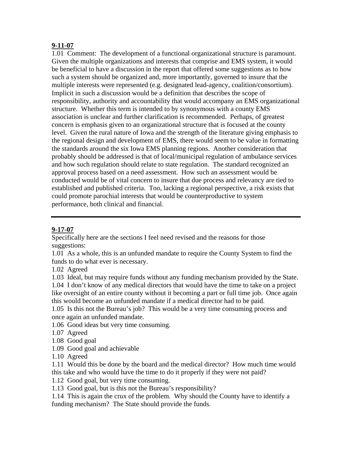#### **9-11-07**

1.01 Comment: The development of a functional organizational structure is paramount. Given the multiple organizations and interests that comprise and EMS system, it would be beneficial to have a discussion in the report that offered some suggestions as to how such a system should be organized and, more importantly, governed to insure that the multiple interests were represented (e.g. designated lead-agency, coalition/consortium). Implicit in such a discussion would be a definition that describes the scope of responsibility, authority and accountability that would accompany an EMS organizational structure. Whether this term is intended to by synonymous with a county EMS association is unclear and further clarification is recommended. Perhaps, of greatest concern is emphasis given to an organizational structure that is focused at the county level. Given the rural nature of Iowa and the strength of the literature giving emphasis to the regional design and development of EMS, there would seem to be value in formatting the standards around the six Iowa EMS planning regions. Another consideration that probably should be addressed is that of local/municipal regulation of ambulance services and how such regulation should relate to state regulation. The standard recognized an approval process based on a need assessment. How such an assessment would be conducted would be of vital concern to insure that due process and relevancy are tied to established and published criteria. Too, lacking a regional perspective, a risk exists that could promote parochial interests that would be counterproductive to system performance, both clinical and financial.

## **9-17-07**

Specifically here are the sections I feel need revised and the reasons for those suggestions:

1.01 As a whole, this is an unfunded mandate to require the County System to find the funds to do what ever is necessary.

1.02 Agreed

1.03 Ideal, but may require funds without any funding mechanism provided by the State. 1.04 I don't know of any medical directors that would have the time to take on a project like oversight of an entire county without it becoming a part or full time job. Once again this would become an unfunded mandate if a medical director had to be paid.

1.05 Is this not the Bureau's job? This would be a very time consuming process and once again an unfunded mandate.

1.06 Good ideas but very time consuming.

1.07 Agreed

- 1.08 Good goal
- 1.09 Good goal and achievable
- 1.10 Agreed

1.11 Would this be done by the board and the medical director? How much time would this take and who would have the time to do it properly if they were not paid?

1.12 Good goal, but very time consuming.

1.13 Good goal, but is this not the Bureau's responsibility?

1.14 This is again the crux of the problem. Why should the County have to identify a funding mechanism? The State should provide the funds.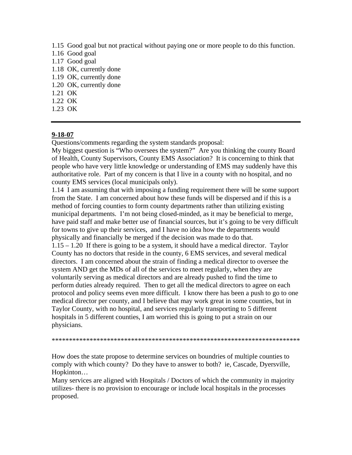1.15 Good goal but not practical without paying one or more people to do this function.

- 1.16 Good goal
- 1.17 Good goal
- 1.18 OK, currently done
- 1.19 OK, currently done
- 1.20 OK, currently done
- 1.21 OK
- 1.22 OK
- 1.23 OK

## **9-18-07**

Questions/comments regarding the system standards proposal:

My biggest question is "Who oversees the system?" Are you thinking the county Board of Health, County Supervisors, County EMS Association? It is concerning to think that people who have very little knowledge or understanding of EMS may suddenly have this authoritative role. Part of my concern is that I live in a county with no hospital, and no county EMS services (local municipals only).

1.14 I am assuming that with imposing a funding requirement there will be some support from the State. I am concerned about how these funds will be dispersed and if this is a method of forcing counties to form county departments rather than utilizing existing municipal departments. I'm not being closed-minded, as it may be beneficial to merge, have paid staff and make better use of financial sources, but it's going to be very difficult for towns to give up their services, and I have no idea how the departments would physically and financially be merged if the decision was made to do that.

1.15 – 1.20 If there is going to be a system, it should have a medical director. Taylor County has no doctors that reside in the county, 6 EMS services, and several medical directors. I am concerned about the strain of finding a medical director to oversee the system AND get the MDs of all of the services to meet regularly, when they are voluntarily serving as medical directors and are already pushed to find the time to perform duties already required. Then to get all the medical directors to agree on each protocol and policy seems even more difficult. I know there has been a push to go to one medical director per county, and I believe that may work great in some counties, but in Taylor County, with no hospital, and services regularly transporting to 5 different hospitals in 5 different counties, I am worried this is going to put a strain on our physicians.

\*\*\*\*\*\*\*\*\*\*\*\*\*\*\*\*\*\*\*\*\*\*\*\*\*\*\*\*\*\*\*\*\*\*\*\*\*\*\*\*\*\*\*\*\*\*\*\*\*\*\*\*\*\*\*\*\*\*\*\*\*\*\*\*\*\*\*\*\*\*\*\*

How does the state propose to determine services on boundries of multiple counties to comply with which county? Do they have to answer to both? ie, Cascade, Dyersville, Hopkinton…

Many services are aligned with Hospitals / Doctors of which the community in majority utilizes- there is no provision to encourage or include local hospitals in the processes proposed.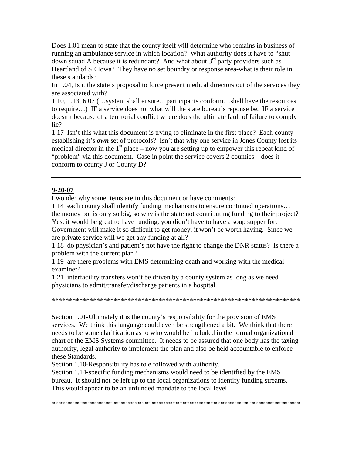Does 1.01 mean to state that the county itself will determine who remains in business of running an ambulance service in which location? What authority does it have to "shut down squad A because it is redundant? And what about  $3<sup>rd</sup>$  party providers such as Heartland of SE Iowa? They have no set boundry or response area-what is their role in these standards?

In 1.04, Is it the state's proposal to force present medical directors out of the services they are associated with?

1.10, 1.13, 6.07 (…system shall ensure…participants conform…shall have the resources to require…) IF a service does not what will the state bureau's reponse be. IF a service doesn't because of a territorial conflict where does the ultimate fault of failure to comply lie?

1.17 Isn't this what this document is trying to eliminate in the first place? Each county establishing it's *own* set of protocols? Isn't that why one service in Jones County lost its medical director in the  $1<sup>st</sup>$  place – now you are setting up to empower this repeat kind of "problem" via this document. Case in point the service covers 2 counties – does it conform to county J or County D?

#### **9-20-07**

I wonder why some items are in this document or have comments:

1.14 each county shall identify funding mechanisms to ensure continued operations… the money pot is only so big, so why is the state not contributing funding to their project?

Yes, it would be great to have funding, you didn't have to have a soup supper for. Government will make it so difficult to get money, it won't be worth having. Since we are private service will we get any funding at all?

1.18 do physician's and patient's not have the right to change the DNR status? Is there a problem with the current plan?

1.19 are there problems with EMS determining death and working with the medical examiner?

1.21 interfacility transfers won't be driven by a county system as long as we need physicians to admit/transfer/discharge patients in a hospital.

\*\*\*\*\*\*\*\*\*\*\*\*\*\*\*\*\*\*\*\*\*\*\*\*\*\*\*\*\*\*\*\*\*\*\*\*\*\*\*\*\*\*\*\*\*\*\*\*\*\*\*\*\*\*\*\*\*\*\*\*\*\*\*\*\*\*\*\*\*\*\*\*

Section 1.01-Ultimately it is the county's responsibility for the provision of EMS services. We think this language could even be strengthened a bit. We think that there needs to be some clarification as to who would be included in the formal organizational chart of the EMS Systems committee. It needs to be assured that one body has the taxing authority, legal authority to implement the plan and also be held accountable to enforce these Standards.

Section 1.10-Responsibility has to e followed with authority.

Section 1.14-specific funding mechanisms would need to be identified by the EMS bureau. It should not be left up to the local organizations to identify funding streams. This would appear to be an unfunded mandate to the local level.

\*\*\*\*\*\*\*\*\*\*\*\*\*\*\*\*\*\*\*\*\*\*\*\*\*\*\*\*\*\*\*\*\*\*\*\*\*\*\*\*\*\*\*\*\*\*\*\*\*\*\*\*\*\*\*\*\*\*\*\*\*\*\*\*\*\*\*\*\*\*\*\*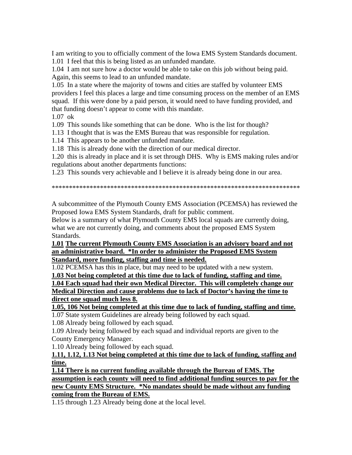I am writing to you to officially comment of the Iowa EMS System Standards document.

1.01 I feel that this is being listed as an unfunded mandate.

1.04 I am not sure how a doctor would be able to take on this job without being paid. Again, this seems to lead to an unfunded mandate.

1.05 In a state where the majority of towns and cities are staffed by volunteer EMS providers I feel this places a large and time consuming process on the member of an EMS squad. If this were done by a paid person, it would need to have funding provided, and that funding doesn't appear to come with this mandate.

 $1.07 \text{ ok}$ 

1.09 This sounds like something that can be done. Who is the list for though?

1.13 I thought that is was the EMS Bureau that was responsible for regulation.

1.14 This appears to be another unfunded mandate.

1.18 This is already done with the direction of our medical director.

1.20 this is already in place and it is set through DHS. Why is EMS making rules and/or regulations about another departments functions:

1.23 This sounds very achievable and I believe it is already being done in our area.

A subcommittee of the Plymouth County EMS Association (PCEMSA) has reviewed the Proposed Iowa EMS System Standards, draft for public comment.

Below is a summary of what Plymouth County EMS local squads are currently doing, what we are not currently doing, and comments about the proposed EMS System Standards.

1.01 The current Plymouth County EMS Association is an advisory board and not an administrative board. \*In order to administer the Proposed EMS System Standard, more funding, staffing and time is needed.

1.02 PCEMSA has this in place, but may need to be updated with a new system.

1.03 Not being completed at this time due to lack of funding, staffing and time.

1.04 Each squad had their own Medical Director. This will completely change our Medical Direction and cause problems due to lack of Doctor's having the time to direct one squad much less 8.

1.05, 106 Not being completed at this time due to lack of funding, staffing and time.

1.07 State system Guidelines are already being followed by each squad.

1.08 Already being followed by each squad.

1.09 Already being followed by each squad and individual reports are given to the County Emergency Manager.

1.10 Already being followed by each squad.

1.11, 1.12, 1.13 Not being completed at this time due to lack of funding, staffing and time.

1.14 There is no current funding available through the Bureau of EMS. The assumption is each county will need to find additional funding sources to pay for the new County EMS Structure. \*No mandates should be made without any funding coming from the Bureau of EMS.

1.15 through 1.23 Already being done at the local level.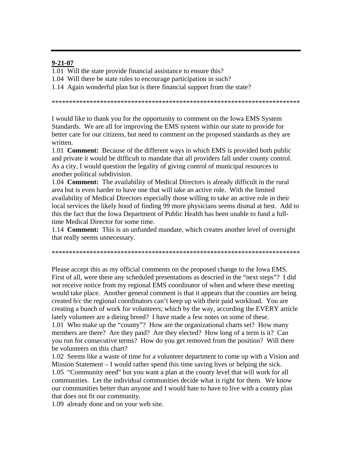#### $9 - 21 - 07$

1.01 Will the state provide financial assistance to ensure this?

1.04 Will there be state rules to encourage participation in such?

1.14 Again wonderful plan but is there financial support from the state?

I would like to thank you for the opportunity to comment on the Iowa EMS System Standards. We are all for improving the EMS system within our state to provide for better care for our citizens, but need to comment on the proposed standards as they are written.

1.01 **Comment:** Because of the different ways in which EMS is provided both public and private it would be difficult to mandate that all providers fall under county control. As a city, I would question the legality of giving control of municipal resources to another political subdivision.

1.04 **Comment:** The availability of Medical Directors is already difficult in the rural area but is even harder to have one that will take an active role. With the limited availability of Medical Directors especially those willing to take an active role in their local services the likely hood of finding 99 more physicians seems dismal at best. Add to this the fact that the Iowa Department of Public Health has been unable to fund a fulltime Medical Director for some time.

1.14 **Comment:** This is an unfunded mandate, which creates another level of oversight that really seems unnecessary.

Please accept this as my official comments on the proposed change to the Iowa EMS. First of all, were there any scheduled presentations as descried in the "next steps"? I did not receive notice from my regional EMS coordinator of when and where these meeting would take place. Another general comment is that it appears that the counties are being created b/c the regional coordinators can't keep up with their paid workload. You are creating a bunch of work for volunteers; which by the way, according the EVERY article lately volunteer are a dieing breed? I have made a few notes on some of these. 1.01 Who make up the "county"? How are the organizational charts set? How many members are there? Are they paid? Are they elected? How long of a term is it? Can you run for consecutive terms? How do you get removed from the position? Will there be volunteers on this chart?

1.02 Seems like a waste of time for a volunteer department to come up with a Vision and Mission Statement  $-I$  would rather spend this time saving lives or helping the sick. 1.05 "Community need" but you want a plan at the county level that will work for all communities. Let the individual communities decide what is right for them. We know our communities better than anyone and I would hate to have to live with a county plan that does not fit our community.

1.09 already done and on your web site.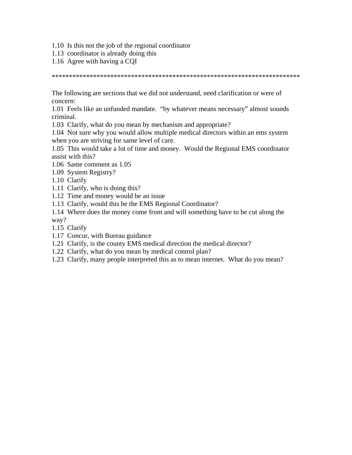- 1.10 Is this not the job of the regional coordinator
- 1.13 coordinator is already doing this
- 1.16 Agree with having a CQI

\*\*\*\*\*\*\*\*\*\*\*\*\*\*\*\*\*\*\*\*\*\*\*\*\*\*\*\*\*\*\*\*\*\*\*\*\*\*\*\*\*\*\*\*\*\*\*\*\*\*\*\*\*\*\*\*\*\*\*\*\*\*\*\*\*\*\*\*\*\*\*\*

The following are sections that we did not understand, need clarification or were of concern:

1.01 Feels like an unfunded mandate. "by whatever means necessary" almost sounds criminal.

1.03 Clarify, what do you mean by mechanism and appropriate?

1.04 Not sure why you would allow multiple medical directors within an ems system when you are striving for same level of care.

1.05 This would take a lot of time and money. Would the Regional EMS coordinator assist with this?

- 1.06 Same comment as 1.05
- 1.09 System Registry?

1.10 Clarify

- 1.11 Clarify, who is doing this?
- 1.12 Time and money would be an issue
- 1.13 Clarify, would this be the EMS Regional Coordinator?

1.14 Where does the money come from and will something have to be cut along the way?

- 1.15 Clarify
- 1.17 Concur, with Bureau guidance
- 1.21 Clarify, is the county EMS medical direction the medical director?
- 1.22 Clarify, what do you mean by medical control plan?
- 1.23 Clarify, many people interpreted this as to mean internet. What do you mean?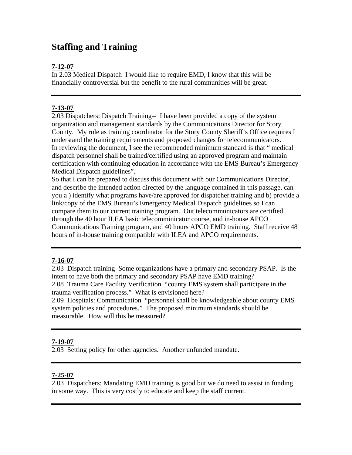## **Staffing and Training**

## **7-12-07**

In 2.03 Medical Dispatch I would like to require EMD, I know that this will be financially controversial but the benefit to the rural communities will be great.

## **7-13-07**

2.03 Dispatchers: Dispatch Training-- I have been provided a copy of the system organization and management standards by the Communications Director for Story County. My role as training coordinator for the Story County Sheriff's Office requires I understand the training requirements and proposed changes for telecommunicators. In reviewing the document, I see the recommended minimum standard is that " medical dispatch personnel shall be trained/certified using an approved program and maintain certification with continuing education in accordance with the EMS Bureau's Emergency Medical Dispatch guidelines".

So that I can be prepared to discuss this document with our Communications Director, and describe the intended action directed by the language contained in this passage, can you a ) identify what programs have/are approved for dispatcher training and b) provide a link/copy of the EMS Bureau's Emergency Medical Dispatch guidelines so I can compare them to our current training program. Out telecommunicators are certified through the 40 hour ILEA basic telecomminicator course, and in-house APCO Communications Training program, and 40 hours APCO EMD training. Staff receive 48 hours of in-house training compatible with ILEA and APCO requirements.

## **7-16-07**

2.03 Dispatch training Some organizations have a primary and secondary PSAP. Is the intent to have both the primary and secondary PSAP have EMD training? 2.08 Trauma Care Facility Verification "county EMS system shall participate in the trauma verification process." What is envisioned here? 2.09 Hospitals: Communication "personnel shall be knowledgeable about county EMS

system policies and procedures." The proposed minimum standards should be measurable. How will this be measured?

## **7-19-07**

2.03 Setting policy for other agencies. Another unfunded mandate.

## **7-25-07**

2.03 Dispatchers: Mandating EMD training is good but we do need to assist in funding in some way. This is very costly to educate and keep the staff current.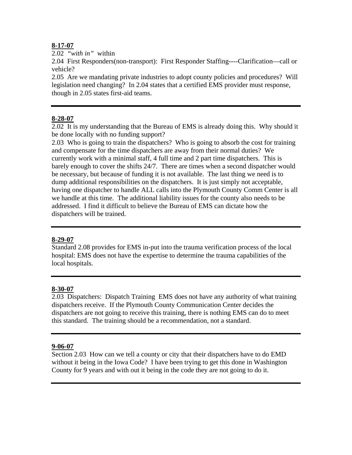## **8-17-07**

2.02 *"with in"* within

2.04 First Responders(non-transport): First Responder Staffing----Clarification—call or vehicle?

2.05 Are we mandating private industries to adopt county policies and procedures? Will legislation need changing? In 2.04 states that a certified EMS provider must response, though in 2.05 states first-aid teams.

## **8-28-07**

2.02 It is my understanding that the Bureau of EMS is already doing this. Why should it be done locally with no funding support?

2.03 Who is going to train the dispatchers? Who is going to absorb the cost for training and compensate for the time dispatchers are away from their normal duties? We currently work with a minimal staff, 4 full time and 2 part time dispatchers. This is barely enough to cover the shifts 24/7. There are times when a second dispatcher would be necessary, but because of funding it is not available. The last thing we need is to dump additional responsibilities on the dispatchers. It is just simply not acceptable, having one dispatcher to handle ALL calls into the Plymouth County Comm Center is all we handle at this time. The additional liability issues for the county also needs to be addressed. I find it difficult to believe the Bureau of EMS can dictate how the dispatchers will be trained.

## **8-29-07**

Standard 2.08 provides for EMS in-put into the trauma verification process of the local hospital: EMS does not have the expertise to determine the trauma capabilities of the local hospitals.

## **8-30-07**

2.03 Dispatchers: Dispatch Training EMS does not have any authority of what training dispatchers receive. If the Plymouth County Communication Center decides the dispatchers are not going to receive this training, there is nothing EMS can do to meet this standard. The training should be a recommendation, not a standard.

## **9-06-07**

Section 2.03 How can we tell a county or city that their dispatchers have to do EMD without it being in the Iowa Code? I have been trying to get this done in Washington County for 9 years and with out it being in the code they are not going to do it.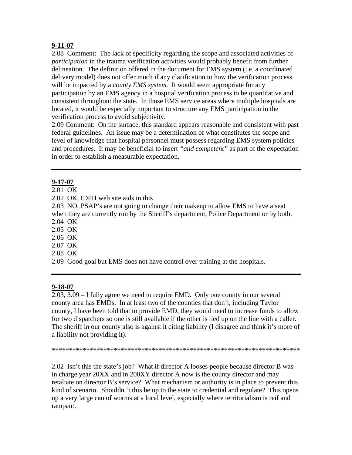## **9-11-07**

2.08 Comment: The lack of specificity regarding the scope and associated activities of *participation* in the trauma verification activities would probably benefit from further delineation. The definition offered in the document for EMS system (i.e. a coordinated delivery model) does not offer much if any clarification to how the verification process will be impacted by a *county EMS system.* It would seem appropriate for any participation by an EMS agency in a hospital verification process to be quantitative and consistent throughout the state. In those EMS service areas where multiple hospitals are located, it would be especially important to structure any EMS participation in the verification process to avoid subjectivity.

2.09 Comment: On the surface, this standard appears reasonable and consistent with past federal guidelines. An issue may be a determination of what constitutes the scope and level of knowledge that hospital personnel must possess regarding EMS system policies and procedures. It may be beneficial to insert *"and competent"* as part of the expectation in order to establish a measurable expectation.

## **9-17-07**

- 2.01 OK
- 2.02 OK, IDPH web site aids in this

2.03 NO, PSAP's are not going to change their makeup to allow EMS to have a seat when they are currently run by the Sheriff's department, Police Department or by both.

2.04 OK

2.05 OK

2.06 OK

- 2.07 OK
- 2.08 OK
- 2.09 Good goal but EMS does not have control over training at the hospitals.

## **9-18-07**

2.03, 3.09 – I fully agree we need to require EMD. Only one county in our several county area has EMDs. In at least two of the counties that don't, including Taylor county, I have been told that to provide EMD, they would need to increase funds to allow for two dispatchers so one is still available if the other is tied up on the line with a caller. The sheriff in our county also is against it citing liability (I disagree and think it's more of a liability not providing it).

\*\*\*\*\*\*\*\*\*\*\*\*\*\*\*\*\*\*\*\*\*\*\*\*\*\*\*\*\*\*\*\*\*\*\*\*\*\*\*\*\*\*\*\*\*\*\*\*\*\*\*\*\*\*\*\*\*\*\*\*\*\*\*\*\*\*\*\*\*\*\*\*

2.02 Isn't this the state's job? What if director A looses people because director B was in charge year 20XX and in 200XY director A now is the county director and may retaliate on director B's service? What mechanism or authority is in place to prevent this kind of scenario. Shouldn 't this be up to the state to credential and regulate? This opens up a very large can of worms at a local level, especially where territorialism is reif and rampant.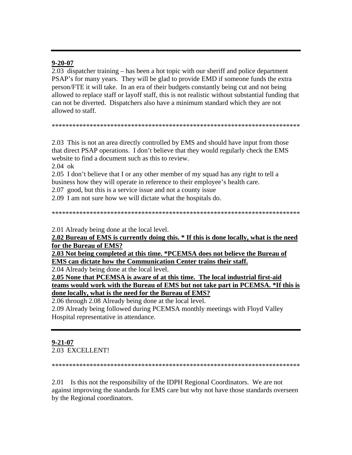#### $9 - 20 - 07$

2.03 dispatcher training – has been a hot topic with our sheriff and police department PSAP's for many years. They will be glad to provide EMD if someone funds the extra person/FTE it will take. In an era of their budgets constantly being cut and not being allowed to replace staff or layoff staff, this is not realistic without substantial funding that can not be diverted. Dispatchers also have a minimum standard which they are not allowed to staff.

#### 

2.03 This is not an area directly controlled by EMS and should have input from those that direct PSAP operations. I don't believe that they would regularly check the EMS website to find a document such as this to review.

 $2.04 \text{ ok}$ 

2.05 I don't believe that I or any other member of my squad has any right to tell a business how they will operate in reference to their employee's health care.

2.07 good, but this is a service issue and not a county issue

2.09 I am not sure how we will dictate what the hospitals do.

2.01 Already being done at the local level.

2.02 Bureau of EMS is currently doing this. \* If this is done locally, what is the need for the Bureau of EMS?

2.03 Not being completed at this time. \*PCEMSA does not believe the Bureau of **EMS** can dictate how the Communication Center trains their staff.

2.04 Already being done at the local level.

2.05 None that PCEMSA is aware of at this time. The local industrial first-aid teams would work with the Bureau of EMS but not take part in PCEMSA. \*If this is done locally, what is the need for the Bureau of EMS?

2.06 through 2.08 Already being done at the local level.

2.09 Already being followed during PCEMSA monthly meetings with Floyd Valley Hospital representative in attendance.

## $9 - 21 - 07$

2.03 EXCELLENT!

2.01 Is this not the responsibility of the IDPH Regional Coordinators. We are not against improving the standards for EMS care but why not have those standards overseen by the Regional coordinators.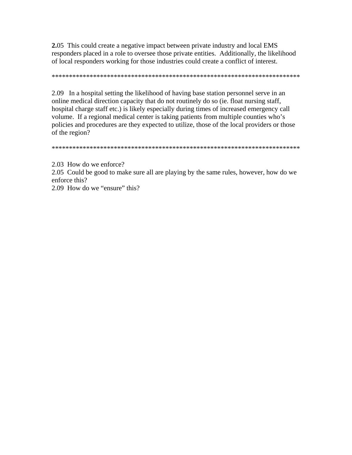2.05 This could create a negative impact between private industry and local EMS responders placed in a role to oversee those private entities. Additionally, the likelihood of local responders working for those industries could create a conflict of interest.

2.09 In a hospital setting the likelihood of having base station personnel serve in an online medical direction capacity that do not routinely do so (ie. float nursing staff, hospital charge staff etc.) is likely especially during times of increased emergency call volume. If a regional medical center is taking patients from multiple counties who's policies and procedures are they expected to utilize, those of the local providers or those of the region?

2.03 How do we enforce?

2.05 Could be good to make sure all are playing by the same rules, however, how do we enforce this?

2.09 How do we "ensure" this?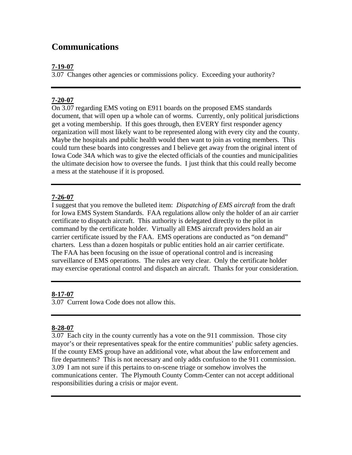## **Communications**

## **7-19-07**

3.07 Changes other agencies or commissions policy. Exceeding your authority?

## **7-20-07**

On 3.07 regarding EMS voting on E911 boards on the proposed EMS standards document, that will open up a whole can of worms. Currently, only political jurisdictions get a voting membership. If this goes through, then EVERY first responder agency organization will most likely want to be represented along with every city and the county. Maybe the hospitals and public health would then want to join as voting members. This could turn these boards into congresses and I believe get away from the original intent of Iowa Code 34A which was to give the elected officials of the counties and municipalities the ultimate decision how to oversee the funds. I just think that this could really become a mess at the statehouse if it is proposed.

## **7-26-07**

I suggest that you remove the bulleted item: *Dispatching of EMS aircraft* from the draft for Iowa EMS System Standards. FAA regulations allow only the holder of an air carrier certificate to dispatch aircraft. This authority is delegated directly to the pilot in command by the certificate holder. Virtually all EMS aircraft providers hold an air carrier certificate issued by the FAA. EMS operations are conducted as "on demand" charters. Less than a dozen hospitals or public entities hold an air carrier certificate. The FAA has been focusing on the issue of operational control and is increasing surveillance of EMS operations. The rules are very clear. Only the certificate holder may exercise operational control and dispatch an aircraft. Thanks for your consideration.

## **8-17-07**

3.07 Current Iowa Code does not allow this.

## **8-28-07**

3.07 Each city in the county currently has a vote on the 911 commission. Those city mayor's or their representatives speak for the entire communities' public safety agencies. If the county EMS group have an additional vote, what about the law enforcement and fire departments? This is not necessary and only adds confusion to the 911 commission. 3.09 I am not sure if this pertains to on-scene triage or somehow involves the communications center. The Plymouth County Comm-Center can not accept additional responsibilities during a crisis or major event.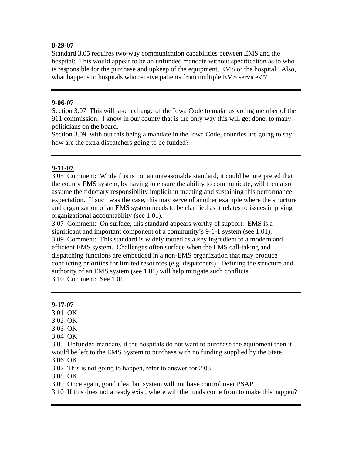#### **8-29-07**

Standard 3.05 requires two-way communication capabilities between EMS and the hospital: This would appear to be an unfunded mandate without specification as to who is responsible for the purchase and upkeep of the equipment, EMS or the hospital. Also, what happens to hospitals who receive patients from multiple EMS services??

#### **9-06-07**

Section 3.07 This will take a change of the Iowa Code to make us voting member of the 911 commission. I know in our county that is the only way this will get done, to many politicians on the board.

Section 3.09 with out this being a mandate in the Iowa Code, counties are going to say how are the extra dispatchers going to be funded?

## **9-11-07**

3.05 Comment: While this is not an unreasonable standard, it could be interpreted that the county EMS system, by having to ensure the ability to communicate, will then also assume the fiduciary responsibility implicit in meeting and sustaining this performance expectation. If such was the case, this may serve of another example where the structure and organization of an EMS system needs to be clarified as it relates to issues implying organizational accountability (see 1.01).

3.07 Comment: On surface, this standard appears worthy of support. EMS is a significant and important component of a community's 9-1-1 system (see 1.01). 3.09 Comment: This standard is widely touted as a key ingredient to a modern and efficient EMS system. Challenges often surface when the EMS call-taking and dispatching functions are embedded in a non-EMS organization that may produce conflicting priorities for limited resources (e.g. dispatchers). Defining the structure and authority of an EMS system (see 1.01) will help mitigate such conflicts. 3.10 Comment: See 1.01

## **9-17-07**

- 3.01 OK
- 3.02 OK
- 3.03 OK
- 3.04 OK

3.05 Unfunded mandate, if the hospitals do not want to purchase the equipment then it would be left to the EMS System to purchase with no funding supplied by the State. 3.06 OK

3.07 This is not going to happen, refer to answer for 2.03

3.08 OK

3.09 Once again, good idea, but system will not have control over PSAP.

3.10 If this does not already exist, where will the funds come from to make this happen?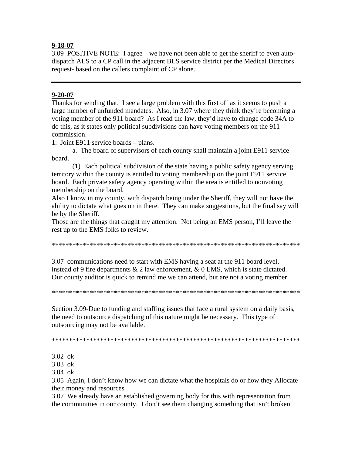#### $9 - 18 - 07$

3.09 POSITIVE NOTE: I agree – we have not been able to get the sheriff to even autodispatch ALS to a CP call in the adjacent BLS service district per the Medical Directors request- based on the callers complaint of CP alone.

#### $9 - 20 - 07$

Thanks for sending that. I see a large problem with this first off as it seems to push a large number of unfunded mandates. Also, in 3.07 where they think they're becoming a voting member of the 911 board? As I read the law, they'd have to change code 34A to do this, as it states only political subdivisions can have voting members on the 911 commission.

1. Joint E911 service boards – plans.

a. The board of supervisors of each county shall maintain a joint E911 service board.

(1) Each political subdivision of the state having a public safety agency serving territory within the county is entitled to voting membership on the joint E911 service board. Each private safety agency operating within the area is entitled to nonvoting membership on the board.

Also I know in my county, with dispatch being under the Sheriff, they will not have the ability to dictate what goes on in there. They can make suggestions, but the final say will be by the Sheriff.

Those are the things that caught my attention. Not being an EMS person, I'll leave the rest up to the EMS folks to review.

3.07 communications need to start with EMS having a seat at the 911 board level, instead of 9 fire departments  $& 2$  law enforcement,  $& 0$  EMS, which is state dictated. Our county auditor is quick to remind me we can attend, but are not a voting member.

Section 3.09-Due to funding and staffing issues that face a rural system on a daily basis, the need to outsource dispatching of this nature might be necessary. This type of outsourcing may not be available.

 $3.02 \text{ ok}$ 

 $3.03 \text{ ok}$ 

 $3.04 \text{ ok}$ 

3.05 Again, I don't know how we can dictate what the hospitals do or how they Allocate their money and resources.

3.07 We already have an established governing body for this with representation from the communities in our county. I don't see them changing something that isn't broken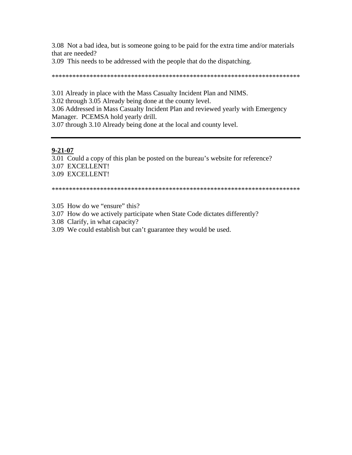3.08 Not a bad idea, but is someone going to be paid for the extra time and/or materials that are needed?

3.09 This needs to be addressed with the people that do the dispatching.

3.01 Already in place with the Mass Casualty Incident Plan and NIMS.

3.02 through 3.05 Already being done at the county level.

3.06 Addressed in Mass Casualty Incident Plan and reviewed yearly with Emergency Manager. PCEMSA hold yearly drill.

3.07 through 3.10 Already being done at the local and county level.

#### $9 - 21 - 07$

3.01 Could a copy of this plan be posted on the bureau's website for reference?

- 3.07 EXCELLENT!
- 3.09 EXCELLENT!

- 3.05 How do we "ensure" this?
- 3.07 How do we actively participate when State Code dictates differently?
- 3.08 Clarify, in what capacity?
- 3.09 We could establish but can't guarantee they would be used.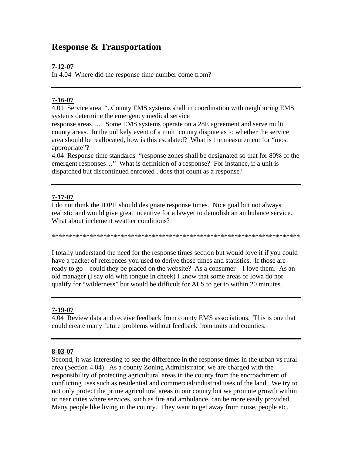## **Response & Transportation**

## **7-12-07**

In 4.04 Where did the response time number come from?

## **7-16-07**

4.01 Service area "..County EMS systems shall in coordination with neighboring EMS systems determine the emergency medical service

response areas…. Some EMS systems operate on a 28E agreement and serve multi county areas. In the unlikely event of a multi county dispute as to whether the service area should be reallocated, how is this escalated? What is the measurement for "most appropriate"?

4.04 Response time standards "response zones shall be designated so that for 80% of the emergent responses…" What is definition of a response? For instance, if a unit is dispatched but discontinued enrooted , does that count as a response?

## **7-17-07**

I do not think the IDPH should designate response times. Nice goal but not always realistic and would give great incentive for a lawyer to demolish an ambulance service. What about inclement weather conditions?

\*\*\*\*\*\*\*\*\*\*\*\*\*\*\*\*\*\*\*\*\*\*\*\*\*\*\*\*\*\*\*\*\*\*\*\*\*\*\*\*\*\*\*\*\*\*\*\*\*\*\*\*\*\*\*\*\*\*\*\*\*\*\*\*\*\*\*\*\*\*\*\*

I totally understand the need for the response times section but would love it if you could have a packet of references you used to derive those times and statistics. If those are ready to go—could they be placed on the website? As a consumer—I love them. As an old manager (I say old with tongue in cheek) I know that some areas of Iowa do not qualify for "wilderness" but would be difficult for ALS to get to within 20 minutes.

## **7-19-07**

4.04 Review data and receive feedback from county EMS associations. This is one that could create many future problems without feedback from units and counties.

## **8-03-07**

Second, it was interesting to see the difference in the response times in the urban vs rural area (Section 4.04). As a county Zoning Administrator, we are charged with the responsibility of protecting agricultural areas in the county from the encroachment of conflicting uses such as residential and commercial/industrial uses of the land. We try to not only protect the prime agricultural areas in our county but we promote growth within or near cities where services, such as fire and ambulance, can be more easily provided. Many people like living in the county. They want to get away from noise, people etc.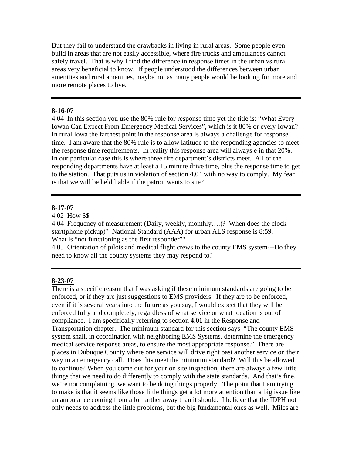But they fail to understand the drawbacks in living in rural areas. Some people even build in areas that are not easily accessible, where fire trucks and ambulances cannot safely travel. That is why I find the difference in response times in the urban vs rural areas very beneficial to know. If people understood the differences between urban amenities and rural amenities, maybe not as many people would be looking for more and more remote places to live.

#### **8-16-07**

4.04 In this section you use the 80% rule for response time yet the title is: "What Every Iowan Can Expect From Emergency Medical Services", which is it 80% or every Iowan? In rural Iowa the farthest point in the response area is always a challenge for response time. I am aware that the 80% rule is to allow latitude to the responding agencies to meet the response time requirements. In reality this response area will always e in that 20%. In our particular case this is where three fire department's districts meet. All of the responding departments have at least a 15 minute drive time, plus the response time to get to the station. That puts us in violation of section 4.04 with no way to comply. My fear is that we will be held liable if the patron wants to sue?

#### **8-17-07**

4.02 How \$\$

4.04 Frequency of measurement (Daily, weekly, monthly….)? When does the clock start(phone pickup)? National Standard (AAA) for urban ALS response is 8:59. What is "not functioning as the first responder"?

4.05 Orientation of pilots and medical flight crews to the county EMS system---Do they need to know all the county systems they may respond to?

#### **8-23-07**

There is a specific reason that I was asking if these minimum standards are going to be enforced, or if they are just suggestions to EMS providers. If they are to be enforced, even if it is several years into the future as you say, I would expect that they will be enforced fully and completely, regardless of what service or what location is out of compliance. I am specifically referring to section **4.01** in the Response and Transportation chapter. The minimum standard for this section says "The county EMS system shall, in coordination with neighboring EMS Systems, determine the emergency medical service response areas, to ensure the most appropriate response." There are places in Dubuque County where one service will drive right past another service on their way to an emergency call. Does this meet the minimum standard? Will this be allowed to continue? When you come out for your on site inspection, there are always a few little things that we need to do differently to comply with the state standards. And that's fine, we're not complaining, we want to be doing things properly. The point that I am trying to make is that it seems like those little things get a lot more attention than a big issue like an ambulance coming from a lot farther away than it should. I believe that the IDPH not only needs to address the little problems, but the big fundamental ones as well. Miles are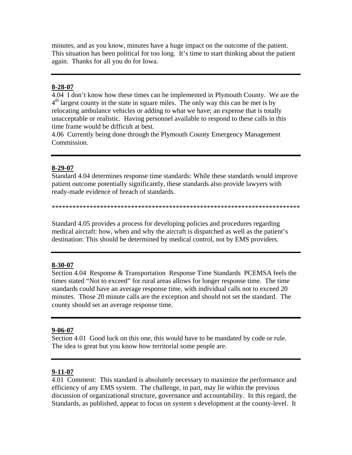minutes, and as you know, minutes have a huge impact on the outcome of the patient. This situation has been political for too long. It's time to start thinking about the patient again. Thanks for all you do for Iowa.

#### **8-28-07**

4.04 I don't know how these times can be implemented in Plymouth County. We are the  $4<sup>th</sup>$  largest county in the state in square miles. The only way this can be met is by relocating ambulance vehicles or adding to what we have; an expense that is totally unacceptable or realistic. Having personnel available to respond to these calls in this time frame would be difficult at best.

4.06 Currently being done through the Plymouth County Emergency Management Commission.

#### **8-29-07**

Standard 4.04 determines response time standards: While these standards would improve patient outcome potentially significantly, these standards also provide lawyers with ready-made evidence of breach of standards.

\*\*\*\*\*\*\*\*\*\*\*\*\*\*\*\*\*\*\*\*\*\*\*\*\*\*\*\*\*\*\*\*\*\*\*\*\*\*\*\*\*\*\*\*\*\*\*\*\*\*\*\*\*\*\*\*\*\*\*\*\*\*\*\*\*\*\*\*\*\*\*\*

Standard 4.05 provides a process for developing policies and procedures regarding medical aircraft: how, when and why the aircraft is dispatched as well as the patient's destination: This should be determined by medical control, not by EMS providers.

#### **8-30-07**

Section 4.04 Response & Transportation Response Time Standards PCEMSA feels the times stated "Not to exceed" for rural areas allows for longer response time. The time standards could have an average response time, with individual calls not to exceed 20 minutes. Those 20 minute calls are the exception and should not set the standard. The county should set an average response time.

#### **9-06-07**

Section 4.01 Good luck on this one, this would have to be mandated by code or rule. The idea is great but you know how territorial some people are.

#### **9-11-07**

4.01 Comment: This standard is absolutely necessary to maximize the performance and efficiency of any EMS system. The challenge, in part, may lie within the previous discussion of organizational structure, governance and accountability. In this regard, the Standards, as published, appear to focus on system s development at the county-level. It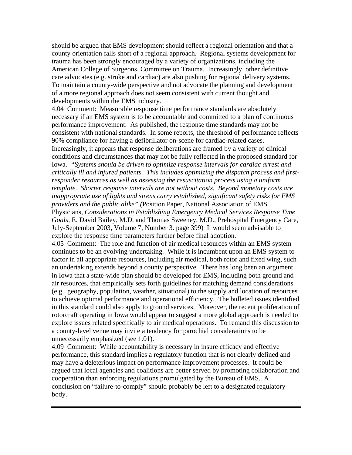should be argued that EMS development should reflect a regional orientation and that a county orientation falls short of a regional approach. Regional systems development for trauma has been strongly encouraged by a variety of organizations, including the American College of Surgeons, Committee on Trauma. Increasingly, other definitive care advocates (e.g. stroke and cardiac) are also pushing for regional delivery systems. To maintain a county-wide perspective and not advocate the planning and development of a more regional approach does not seem consistent with current thought and developments within the EMS industry.

4.04 Comment: Measurable response time performance standards are absolutely necessary if an EMS system is to be accountable and committed to a plan of continuous performance improvement. As published, the response time standards may not be consistent with national standards. In some reports, the threshold of performance reflects 90% compliance for having a defibrillator on-scene for cardiac-related cases. Increasingly, it appears that response deliberations are framed by a variety of clinical conditions and circumstances that may not be fully reflected in the proposed standard for Iowa. *"Systems should be driven to optimize response intervals for cardiac arrest and critically ill and injured patients. This includes optimizing the dispatch process and firstresponder resources as well as assessing the resuscitation process using a uniform template. Shorter response intervals are not without costs. Beyond monetary costs are inappropriate use of lights and sirens carry established, significant safety risks for EMS providers and the public alike".(*Position Paper, National Association of EMS Physicians, *Considerations in Establishing Emergency Medical Services Response Time Goals,* E. David Bailey, M.D. and Thomas Sweeney, M.D., Prehospital Emergency Care, July-September 2003, Volume 7, Number 3. page 399) It would seem advisable to explore the response time parameters further before final adoption.

4.05 Comment: The role and function of air medical resources within an EMS system continues to be an evolving undertaking. While it is incumbent upon an EMS system to factor in all appropriate resources, including air medical, both rotor and fixed wing, such an undertaking extends beyond a county perspective. There has long been an argument in Iowa that a state-wide plan should be developed for EMS, including both ground and air resources, that empirically sets forth guidelines for matching demand considerations (e.g., geography, population, weather, situational) to the supply and location of resources to achieve optimal performance and operational efficiency. The bulleted issues identified in this standard could also apply to ground services. Moreover, the recent proliferation of rotorcraft operating in Iowa would appear to suggest a more global approach is needed to explore issues related specifically to air medical operations. To remand this discussion to a county-level venue may invite a tendency for parochial considerations to be unnecessarily emphasized (see 1.01).

4.09 Comment: While accountability is necessary in insure efficacy and effective performance, this standard implies a regulatory function that is not clearly defined and may have a deleterious impact on performance improvement processes. It could be argued that local agencies and coalitions are better served by promoting collaboration and cooperation than enforcing regulations promulgated by the Bureau of EMS. A conclusion on "failure-to-comply" should probably be left to a designated regulatory body.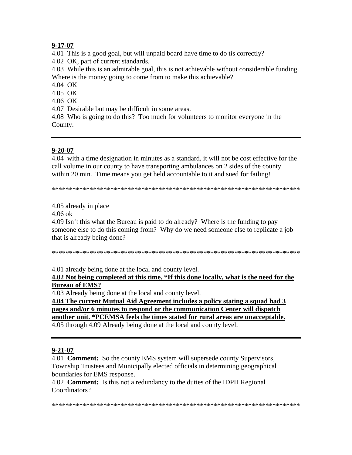## $9 - 17 - 07$

4.01 This is a good goal, but will unpaid board have time to do tis correctly?

4.02 OK, part of current standards.

4.03 While this is an admirable goal, this is not achievable without considerable funding. Where is the money going to come from to make this achievable?

4.04 OK

4.05 OK

4.06 OK

4.07 Desirable but may be difficult in some areas.

4.08 Who is going to do this? Too much for volunteers to monitor everyone in the County.

#### $9 - 20 - 07$

4.04 with a time designation in minutes as a standard, it will not be cost effective for the call volume in our county to have transporting ambulances on 2 sides of the county within 20 min. Time means you get held accountable to it and sued for failing!

#### 4.05 already in place

 $4.06 \text{ ok}$ 

4.09 Isn't this what the Bureau is paid to do already? Where is the funding to pay someone else to do this coming from? Why do we need someone else to replicate a job that is already being done?

4.01 already being done at the local and county level.

4.02 Not being completed at this time. \*If this done locally, what is the need for the **Bureau of EMS?** 

4.03 Already being done at the local and county level.

4.04 The current Mutual Aid Agreement includes a policy stating a squad had 3 pages and/or 6 minutes to respond or the communication Center will dispatch another unit. \*PCEMSA feels the times stated for rural areas are unacceptable. 4.05 through 4.09 Already being done at the local and county level.

#### $9 - 21 - 07$

4.01 **Comment:** So the county EMS system will supersede county Supervisors, Township Trustees and Municipally elected officials in determining geographical boundaries for EMS response.

4.02 Comment: Is this not a redundancy to the duties of the IDPH Regional Coordinators?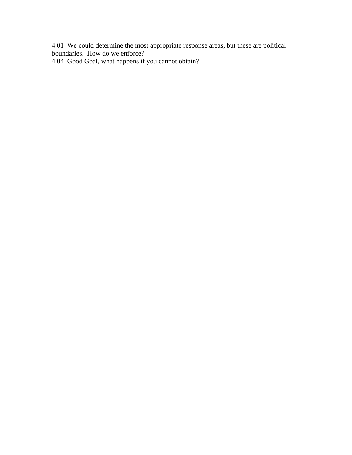4.01 We could determine the most appropriate response areas, but these are political boundaries. How do we enforce?

4.04 Good Goal, what happens if you cannot obtain?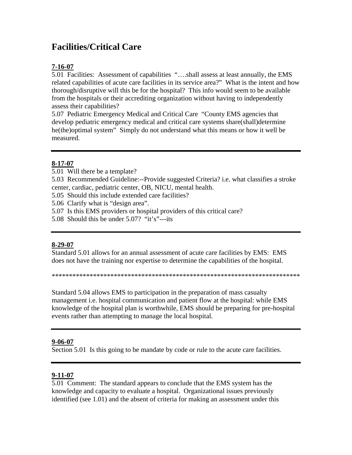## **Facilities/Critical Care**

## **7-16-07**

5.01 Facilities: Assessment of capabilities "….shall assess at least annually, the EMS related capabilities of acute care facilities in its service area?" What is the intent and how thorough/disruptive will this be for the hospital? This info would seem to be available from the hospitals or their accrediting organization without having to independently assess their capabilities?

5.07 Pediatric Emergency Medical and Critical Care "County EMS agencies that develop pediatric emergency medical and critical care systems share(shall)determine he(the)optimal system" Simply do not understand what this means or how it well be measured.

## **8-17-07**

- 5.01 Will there be a template?
- 5.03 Recommended Guideline:--Provide suggested Criteria? i.e. what classifies a stroke center, cardiac, pediatric center, OB, NICU, mental health.
- 5.05 Should this include extended care facilities?
- 5.06 Clarify what is "design area".
- 5.07 Is this EMS providers or hospital providers of this critical care?
- 5.08 Should this be under 5.07? "it's"---its

#### **8-29-07**

Standard 5.01 allows for an annual assessment of acute care facilities by EMS: EMS does not have the training nor expertise to determine the capabilities of the hospital.

\*\*\*\*\*\*\*\*\*\*\*\*\*\*\*\*\*\*\*\*\*\*\*\*\*\*\*\*\*\*\*\*\*\*\*\*\*\*\*\*\*\*\*\*\*\*\*\*\*\*\*\*\*\*\*\*\*\*\*\*\*\*\*\*\*\*\*\*\*\*\*\*

Standard 5.04 allows EMS to participation in the preparation of mass casualty management i.e. hospital communication and patient flow at the hospital: while EMS knowledge of the hospital plan is worthwhile, EMS should be preparing for pre-hospital events rather than attempting to manage the local hospital.

#### **9-06-07**

Section 5.01 Is this going to be mandate by code or rule to the acute care facilities.

## **9-11-07**

5.01 Comment: The standard appears to conclude that the EMS system has the knowledge and capacity to evaluate a hospital. Organizational issues previously identified (see 1.01) and the absent of criteria for making an assessment under this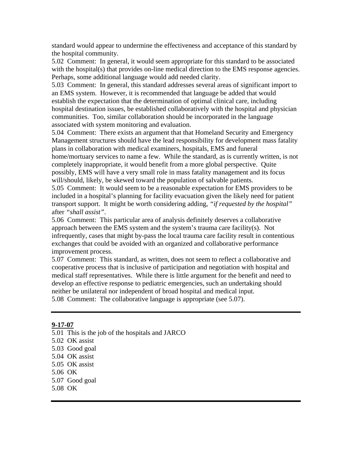standard would appear to undermine the effectiveness and acceptance of this standard by the hospital community.

5.02 Comment: In general, it would seem appropriate for this standard to be associated with the hospital(s) that provides on-line medical direction to the EMS response agencies. Perhaps, some additional language would add needed clarity.

5.03 Comment: In general, this standard addresses several areas of significant import to an EMS system. However, it is recommended that language be added that would establish the expectation that the determination of optimal clinical care, including hospital destination issues, be established collaboratively with the hospital and physician communities. Too, similar collaboration should be incorporated in the language associated with system monitoring and evaluation.

5.04 Comment: There exists an argument that that Homeland Security and Emergency Management structures should have the lead responsibility for development mass fatality plans in collaboration with medical examiners, hospitals, EMS and funeral

home/mortuary services to name a few. While the standard, as is currently written, is not completely inappropriate, it would benefit from a more global perspective. Quite possibly, EMS will have a very small role in mass fatality management and its focus will/should, likely, be skewed toward the population of salvable patients.

5.05 Comment: It would seem to be a reasonable expectation for EMS providers to be included in a hospital's planning for facility evacuation given the likely need for patient transport support. It might be worth considering adding, *"if requested by the hospital"*  after *"shall assist"*.

5.06 Comment: This particular area of analysis definitely deserves a collaborative approach between the EMS system and the system's trauma care facility(s). Not infrequently, cases that might by-pass the local trauma care facility result in contentious exchanges that could be avoided with an organized and collaborative performance improvement process.

5.07 Comment: This standard, as written, does not seem to reflect a collaborative and cooperative process that is inclusive of participation and negotiation with hospital and medical staff representatives. While there is little argument for the benefit and need to develop an effective response to pediatric emergencies, such an undertaking should neither be unilateral nor independent of broad hospital and medical input. 5.08 Comment: The collaborative language is appropriate (see 5.07).

#### **9-17-07**

- 5.01 This is the job of the hospitals and JARCO
- 5.02 OK assist
- 5.03 Good goal
- 5.04 OK assist
- 5.05 OK assist
- 5.06 OK
- 5.07 Good goal
- 5.08 OK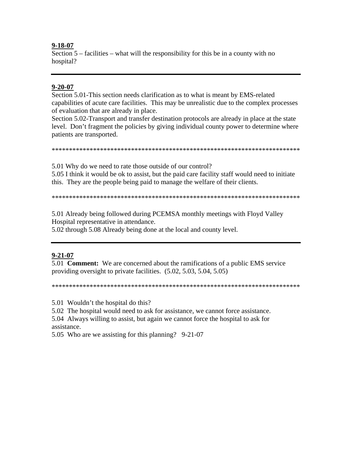#### $9 - 18 - 07$

Section  $5$  – facilities – what will the responsibility for this be in a county with no hospital?

#### $9 - 20 - 07$

Section 5.01-This section needs clarification as to what is meant by EMS-related capabilities of acute care facilities. This may be unrealistic due to the complex processes of evaluation that are already in place.

Section 5.02-Transport and transfer destination protocols are already in place at the state level. Don't fragment the policies by giving individual county power to determine where patients are transported.

5.01 Why do we need to rate those outside of our control?

5.05 I think it would be ok to assist, but the paid care facility staff would need to initiate this. They are the people being paid to manage the welfare of their clients.

5.01 Already being followed during PCEMSA monthly meetings with Floyd Valley Hospital representative in attendance.

5.02 through 5.08 Already being done at the local and county level.

## $9 - 21 - 07$

5.01 **Comment:** We are concerned about the ramifications of a public EMS service providing oversight to private facilities.  $(5.02, 5.03, 5.04, 5.05)$ 

5.01 Wouldn't the hospital do this?

5.02 The hospital would need to ask for assistance, we cannot force assistance.

5.04 Always willing to assist, but again we cannot force the hospital to ask for assistance.

5.05 Who are we assisting for this planning? 9-21-07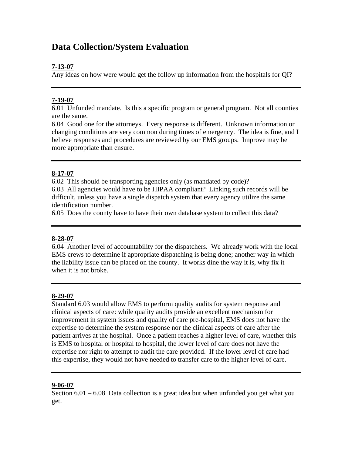## **Data Collection/System Evaluation**

## **7-13-07**

Any ideas on how were would get the follow up information from the hospitals for QI?

## **7-19-07**

6.01 Unfunded mandate. Is this a specific program or general program. Not all counties are the same.

6.04 Good one for the attorneys. Every response is different. Unknown information or changing conditions are very common during times of emergency. The idea is fine, and I believe responses and procedures are reviewed by our EMS groups. Improve may be more appropriate than ensure.

## **8-17-07**

6.02 This should be transporting agencies only (as mandated by code)? 6.03 All agencies would have to be HIPAA compliant? Linking such records will be difficult, unless you have a single dispatch system that every agency utilize the same identification number.

6.05 Does the county have to have their own database system to collect this data?

## **8-28-07**

6.04 Another level of accountability for the dispatchers. We already work with the local EMS crews to determine if appropriate dispatching is being done; another way in which the liability issue can be placed on the county. It works dine the way it is, why fix it when it is not broke.

## **8-29-07**

Standard 6.03 would allow EMS to perform quality audits for system response and clinical aspects of care: while quality audits provide an excellent mechanism for improvement in system issues and quality of care pre-hospital, EMS does not have the expertise to determine the system response nor the clinical aspects of care after the patient arrives at the hospital. Once a patient reaches a higher level of care, whether this is EMS to hospital or hospital to hospital, the lower level of care does not have the expertise nor right to attempt to audit the care provided. If the lower level of care had this expertise, they would not have needed to transfer care to the higher level of care.

## **9-06-07**

Section  $6.01 - 6.08$  Data collection is a great idea but when unfunded you get what you get.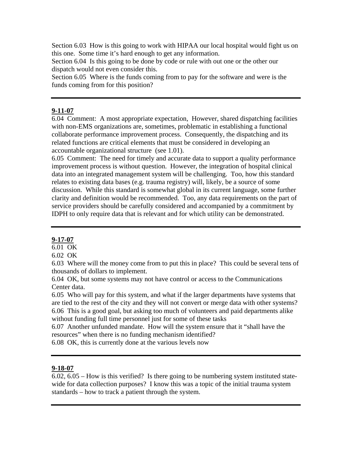Section 6.03 How is this going to work with HIPAA our local hospital would fight us on this one. Some time it's hard enough to get any information.

Section 6.04 Is this going to be done by code or rule with out one or the other our dispatch would not even consider this.

Section 6.05 Where is the funds coming from to pay for the software and were is the funds coming from for this position?

## **9-11-07**

6.04 Comment: A most appropriate expectation, However, shared dispatching facilities with non-EMS organizations are, sometimes, problematic in establishing a functional collaborate performance improvement process. Consequently, the dispatching and its related functions are critical elements that must be considered in developing an accountable organizational structure (see 1.01).

6.05 Comment: The need for timely and accurate data to support a quality performance improvement process is without question. However, the integration of hospital clinical data into an integrated management system will be challenging. Too, how this standard relates to existing data bases (e.g. trauma registry) will, likely, be a source of some discussion. While this standard is somewhat global in its current language, some further clarity and definition would be recommended. Too, any data requirements on the part of service providers should be carefully considered and accompanied by a commitment by IDPH to only require data that is relevant and for which utility can be demonstrated.

#### **9-17-07**

 $\overline{6.01}$  OK

6.02 OK

6.03 Where will the money come from to put this in place? This could be several tens of thousands of dollars to implement.

6.04 OK, but some systems may not have control or access to the Communications Center data.

6.05 Who will pay for this system, and what if the larger departments have systems that are tied to the rest of the city and they will not convert or merge data with other systems? 6.06 This is a good goal, but asking too much of volunteers and paid departments alike without funding full time personnel just for some of these tasks

6.07 Another unfunded mandate. How will the system ensure that it "shall have the resources" when there is no funding mechanism identified?

6.08 OK, this is currently done at the various levels now

## **9-18-07**

6.02, 6.05 – How is this verified? Is there going to be numbering system instituted statewide for data collection purposes? I know this was a topic of the initial trauma system standards – how to track a patient through the system.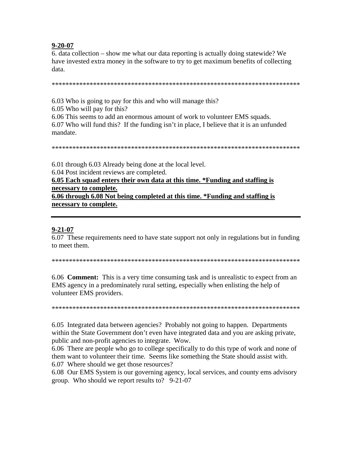#### $9 - 20 - 07$

6. data collection – show me what our data reporting is actually doing statewide? We have invested extra money in the software to try to get maximum benefits of collecting data.

6.03 Who is going to pay for this and who will manage this?

6.05 Who will pay for this?

6.06 This seems to add an enormous amount of work to volunteer EMS squads. 6.07 Who will fund this? If the funding isn't in place, I believe that it is an unfunded mandate.

6.01 through 6.03 Already being done at the local level. 6.04 Post incident reviews are completed. 6.05 Each squad enters their own data at this time. \*Funding and staffing is

necessary to complete. 6.06 through 6.08 Not being completed at this time. \*Funding and staffing is necessary to complete.

#### $9 - 21 - 07$

6.07 These requirements need to have state support not only in regulations but in funding to meet them.

6.06 **Comment:** This is a very time consuming task and is unrealistic to expect from an EMS agency in a predominately rural setting, especially when enlisting the help of volunteer EMS providers.

6.05 Integrated data between agencies? Probably not going to happen. Departments within the State Government don't even have integrated data and you are asking private. public and non-profit agencies to integrate. Wow.

6.06 There are people who go to college specifically to do this type of work and none of them want to volunteer their time. Seems like something the State should assist with. 6.07 Where should we get those resources?

6.08 Our EMS System is our governing agency, local services, and county ems advisory group. Who should we report results to? 9-21-07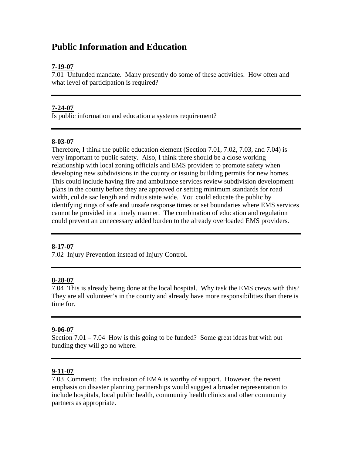## **Public Information and Education**

## **7-19-07**

7.01 Unfunded mandate. Many presently do some of these activities. How often and what level of participation is required?

#### **7-24-07**

Is public information and education a systems requirement?

#### **8-03-07**

Therefore, I think the public education element (Section 7.01, 7.02, 7.03, and 7.04) is very important to public safety. Also, I think there should be a close working relationship with local zoning officials and EMS providers to promote safety when developing new subdivisions in the county or issuing building permits for new homes. This could include having fire and ambulance services review subdivision development plans in the county before they are approved or setting minimum standards for road width, cul de sac length and radius state wide. You could educate the public by identifying rings of safe and unsafe response times or set boundaries where EMS services cannot be provided in a timely manner. The combination of education and regulation could prevent an unnecessary added burden to the already overloaded EMS providers.

## **8-17-07**

7.02 Injury Prevention instead of Injury Control.

#### **8-28-07**

7.04 This is already being done at the local hospital. Why task the EMS crews with this? They are all volunteer's in the county and already have more responsibilities than there is time for.

#### **9-06-07**

Section  $7.01 - 7.04$  How is this going to be funded? Some great ideas but with out funding they will go no where.

#### **9-11-07**

7.03 Comment: The inclusion of EMA is worthy of support. However, the recent emphasis on disaster planning partnerships would suggest a broader representation to include hospitals, local public health, community health clinics and other community partners as appropriate.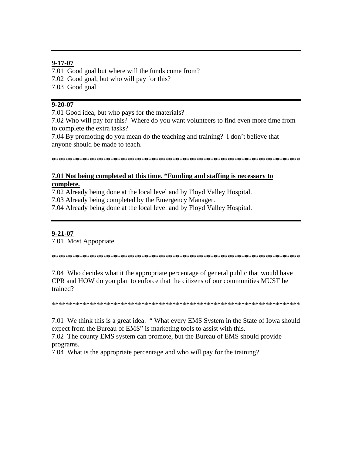## $9 - 17 - 07$

7.01 Good goal but where will the funds come from? 7.02 Good goal, but who will pay for this? 7.03 Good goal

## $9 - 20 - 07$

7.01 Good idea, but who pays for the materials?

7.02 Who will pay for this? Where do you want volunteers to find even more time from to complete the extra tasks?

7.04 By promoting do you mean do the teaching and training? I don't believe that anyone should be made to teach.

## 7.01 Not being completed at this time. \*Funding and staffing is necessary to complete.

7.02 Already being done at the local level and by Floyd Valley Hospital.

7.03 Already being completed by the Emergency Manager.

7.04 Already being done at the local level and by Floyd Valley Hospital.

## $9 - 21 - 07$

7.01 Most Appopriate.

7.04 Who decides what it the appropriate percentage of general public that would have CPR and HOW do you plan to enforce that the citizens of our communities MUST be trained?

7.01 We think this is a great idea. "What every EMS System in the State of Iowa should expect from the Bureau of EMS" is marketing tools to assist with this.

7.02 The county EMS system can promote, but the Bureau of EMS should provide programs.

7.04 What is the appropriate percentage and who will pay for the training?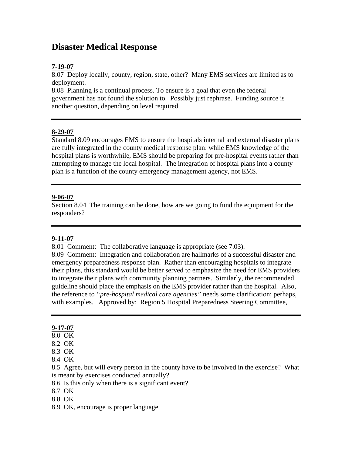## **Disaster Medical Response**

## **7-19-07**

8.07 Deploy locally, county, region, state, other? Many EMS services are limited as to deployment.

8.08 Planning is a continual process. To ensure is a goal that even the federal government has not found the solution to. Possibly just rephrase. Funding source is another question, depending on level required.

#### **8-29-07**

Standard 8.09 encourages EMS to ensure the hospitals internal and external disaster plans are fully integrated in the county medical response plan: while EMS knowledge of the hospital plans is worthwhile, EMS should be preparing for pre-hospital events rather than attempting to manage the local hospital. The integration of hospital plans into a county plan is a function of the county emergency management agency, not EMS.

#### **9-06-07**

Section 8.04 The training can be done, how are we going to fund the equipment for the responders?

## **9-11-07**

8.01 Comment: The collaborative language is appropriate (see 7.03).

8.09 Comment: Integration and collaboration are hallmarks of a successful disaster and emergency preparedness response plan. Rather than encouraging hospitals to integrate their plans, this standard would be better served to emphasize the need for EMS providers to integrate their plans with community planning partners. Similarly, the recommended guideline should place the emphasis on the EMS provider rather than the hospital. Also, the reference to *"pre-hospital medical care agencies"* needs some clarification; perhaps, with examples. Approved by: Region 5 Hospital Preparedness Steering Committee,

## **9-17-07**

- 8.0 OK
- 8.2 OK
- 8.3 OK
- 8.4 OK

8.5 Agree, but will every person in the county have to be involved in the exercise? What is meant by exercises conducted annually?

- 8.6 Is this only when there is a significant event?
- 8.7 OK
- 8.8 OK
- 8.9 OK, encourage is proper language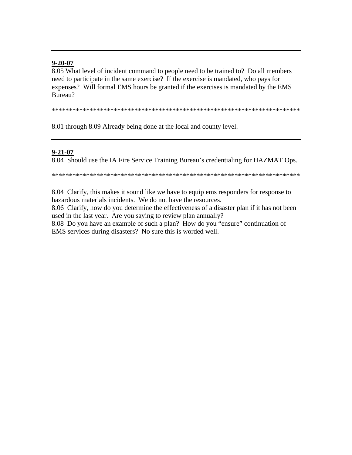#### $9 - 20 - 07$

8.05 What level of incident command to people need to be trained to? Do all members need to participate in the same exercise? If the exercise is mandated, who pays for expenses? Will formal EMS hours be granted if the exercises is mandated by the EMS Bureau?

8.01 through 8.09 Already being done at the local and county level.

#### $9 - 21 - 07$

8.04 Should use the IA Fire Service Training Bureau's credentialing for HAZMAT Ops.

8.04 Clarify, this makes it sound like we have to equip ems responders for response to hazardous materials incidents. We do not have the resources.

8.06 Clarify, how do you determine the effectiveness of a disaster plan if it has not been used in the last year. Are you saying to review plan annually?

8.08 Do you have an example of such a plan? How do you "ensure" continuation of EMS services during disasters? No sure this is worded well.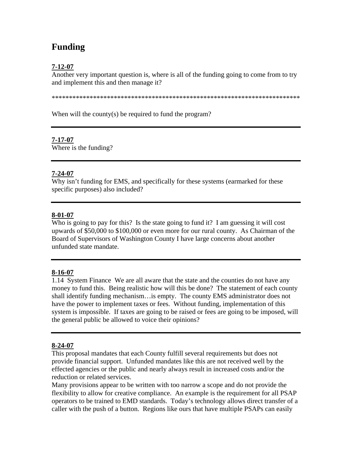# **Funding**

## **7-12-07**

Another very important question is, where is all of the funding going to come from to try and implement this and then manage it?

\*\*\*\*\*\*\*\*\*\*\*\*\*\*\*\*\*\*\*\*\*\*\*\*\*\*\*\*\*\*\*\*\*\*\*\*\*\*\*\*\*\*\*\*\*\*\*\*\*\*\*\*\*\*\*\*\*\*\*\*\*\*\*\*\*\*\*\*\*\*\*\*

When will the county(s) be required to fund the program?

## **7-17-07**

Where is the funding?

## **7-24-07**

Why isn't funding for EMS, and specifically for these systems (earmarked for these specific purposes) also included?

## **8-01-07**

Who is going to pay for this? Is the state going to fund it? I am guessing it will cost upwards of \$50,000 to \$100,000 or even more for our rural county. As Chairman of the Board of Supervisors of Washington County I have large concerns about another unfunded state mandate.

## **8-16-07**

1.14 System Finance We are all aware that the state and the counties do not have any money to fund this. Being realistic how will this be done? The statement of each county shall identify funding mechanism…is empty. The county EMS administrator does not have the power to implement taxes or fees. Without funding, implementation of this system is impossible. If taxes are going to be raised or fees are going to be imposed, will the general public be allowed to voice their opinions?

## **8-24-07**

This proposal mandates that each County fulfill several requirements but does not provide financial support. Unfunded mandates like this are not received well by the effected agencies or the public and nearly always result in increased costs and/or the reduction or related services.

Many provisions appear to be written with too narrow a scope and do not provide the flexibility to allow for creative compliance. An example is the requirement for all PSAP operators to be trained to EMD standards. Today's technology allows direct transfer of a caller with the push of a button. Regions like ours that have multiple PSAPs can easily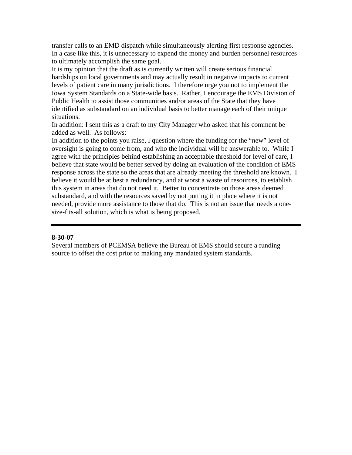transfer calls to an EMD dispatch while simultaneously alerting first response agencies. In a case like this, it is unnecessary to expend the money and burden personnel resources to ultimately accomplish the same goal.

It is my opinion that the draft as is currently written will create serious financial hardships on local governments and may actually result in negative impacts to current levels of patient care in many jurisdictions. I therefore urge you not to implement the Iowa System Standards on a State-wide basis. Rather, I encourage the EMS Division of Public Health to assist those communities and/or areas of the State that they have identified as substandard on an individual basis to better manage each of their unique situations.

In addition: I sent this as a draft to my City Manager who asked that his comment be added as well. As follows:

In addition to the points you raise, I question where the funding for the "new" level of oversight is going to come from, and who the individual will be answerable to. While I agree with the principles behind establishing an acceptable threshold for level of care, I believe that state would be better served by doing an evaluation of the condition of EMS response across the state so the areas that are already meeting the threshold are known. I believe it would be at best a redundancy, and at worst a waste of resources, to establish this system in areas that do not need it. Better to concentrate on those areas deemed substandard, and with the resources saved by not putting it in place where it is not needed, provide more assistance to those that do. This is not an issue that needs a onesize-fits-all solution, which is what is being proposed.

#### **8-30-07**

Several members of PCEMSA believe the Bureau of EMS should secure a funding source to offset the cost prior to making any mandated system standards.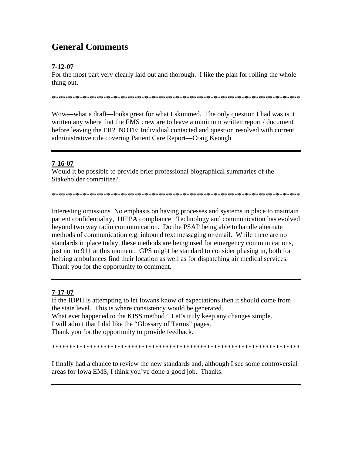## **General Comments**

## $7 - 12 - 07$

For the most part very clearly laid out and thorough. I like the plan for rolling the whole thing out.

Wow—what a draft—looks great for what I skimmed. The only question I had was is it written any where that the EMS crew are to leave a minimum written report / document before leaving the ER? NOTE: Individual contacted and question resolved with current administrative rule covering Patient Care Report—Craig Keough

## 7-16-07

Would it be possible to provide brief professional biographical summaries of the Stakeholder committee?

Interesting omissions No emphasis on having processes and systems in place to maintain patient confidentiality, HIPPA compliance Technology and communication has evolved beyond two way radio communication. Do the PSAP being able to handle alternate methods of communication e.g. inbound text messaging or email. While there are no standards in place today, these methods are being used for emergency communications, just not to 911 at this moment. GPS might be standard to consider phasing in, both for helping ambulances find their location as well as for dispatching air medical services. Thank you for the opportunity to comment.

## $7 - 17 - 07$

If the IDPH is attempting to let Iowans know of expectations then it should come from the state level. This is where consistency would be generated. What ever happened to the KISS method? Let's truly keep any changes simple. I will admit that I did like the "Glossary of Terms" pages. Thank you for the opportunity to provide feedback.

I finally had a chance to review the new standards and, although I see some controversial areas for Iowa EMS, I think you've done a good job. Thanks.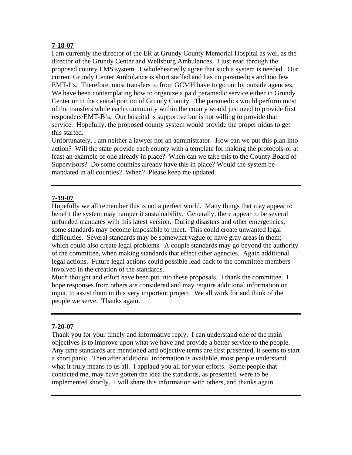## **7-18-07**

I am currently the director of the ER at Grundy County Memorial Hospital as well as the director of the Grundy Center and Wellsburg Ambulances. I just read through the proposed county EMS system. I wholeheartedly agree that such a system is needed. Our current Grundy Center Ambulance is short staffed and has no paramedics and too few EMT-I's. Therefore, most transfers to from GCMH have to go out by outside agencies. We have been contemplating how to organize a paid paramedic service either in Grundy Center or in the central portion of Grundy County. The paramedics would perform most of the transfers while each community within the county would just need to provide first responders/EMT-B's. Our hospital is supportive but is not willing to provide that service. Hopefully, the proposed county system would provide the proper nidus to get this started.

Unfortunately, I am neither a lawyer nor an administrator. How can we put this plan into action? Will the state provide each county with a template for making the protocols-or at least an example of one already in place? When can we take this to the County Board of Supervisors? Do some counties already have this in place? Would the system be mandated in all counties? When? Please keep me updated.

## **7-19-07**

Hopefully we all remember this is not a perfect world. Many things that may appear to benefit the system may hamper it sustainability. Generally, there appear to be several unfunded mandates with this latest version. During disasters and other emergencies, some standards may become impossible to meet. This could create unwanted legal difficulties. Several standards may be somewhat vague or have gray areas in them; which could also create legal problems. A couple standards may go beyond the authority of the committee, when making standards that effect other agencies. Again additional legal actions. Future legal actions could possible lead back to the committee members involved in the creation of the standards.

Much thought and effort have been put into these proposals. I thank the committee. I hope responses from others are considered and may require additional information or input, to assist them in this very important project. We all work for and think of the people we serve. Thanks again.

## **7-20-07**

Thank you for your timely and informative reply. I can understand one of the main objectives is to improve upon what we have and provide a better service to the people. Any time standards are mentioned and objective terms are first presented, it seems to start a short panic. Then after additional information is available, most people understand what it truly means to us all. I applaud you all for your efforts. Some people that contacted me, may have gotten the idea the standards, as presented, were to be implemented shortly. I will share this information with others, and thanks again.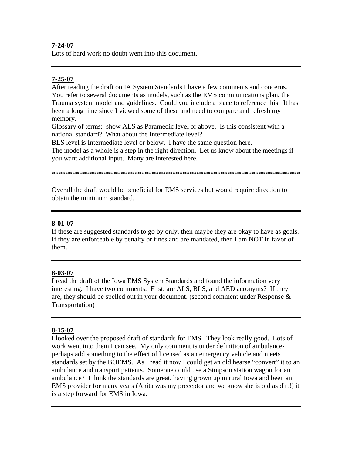#### **7-24-07**

Lots of hard work no doubt went into this document.

## **7-25-07**

After reading the draft on IA System Standards I have a few comments and concerns. You refer to several documents as models, such as the EMS communications plan, the Trauma system model and guidelines. Could you include a place to reference this. It has been a long time since I viewed some of these and need to compare and refresh my memory.

Glossary of terms: show ALS as Paramedic level or above. Is this consistent with a national standard? What about the Intermediate level?

BLS level is Intermediate level or below. I have the same question here.

The model as a whole is a step in the right direction. Let us know about the meetings if you want additional input. Many are interested here.

\*\*\*\*\*\*\*\*\*\*\*\*\*\*\*\*\*\*\*\*\*\*\*\*\*\*\*\*\*\*\*\*\*\*\*\*\*\*\*\*\*\*\*\*\*\*\*\*\*\*\*\*\*\*\*\*\*\*\*\*\*\*\*\*\*\*\*\*\*\*\*\*

Overall the draft would be beneficial for EMS services but would require direction to obtain the minimum standard.

## **8-01-07**

If these are suggested standards to go by only, then maybe they are okay to have as goals. If they are enforceable by penalty or fines and are mandated, then I am NOT in favor of them.

## **8-03-07**

I read the draft of the Iowa EMS System Standards and found the information very interesting. I have two comments. First, are ALS, BLS, and AED acronyms? If they are, they should be spelled out in your document. (second comment under Response & Transportation)

## **8-15-07**

I looked over the proposed draft of standards for EMS. They look really good. Lots of work went into them I can see. My only comment is under definition of ambulanceperhaps add something to the effect of licensed as an emergency vehicle and meets standards set by the BOEMS. As I read it now I could get an old hearse "convert" it to an ambulance and transport patients. Someone could use a Simpson station wagon for an ambulance? I think the standards are great, having grown up in rural Iowa and been an EMS provider for many years (Anita was my preceptor and we know she is old as dirt!) it is a step forward for EMS in Iowa.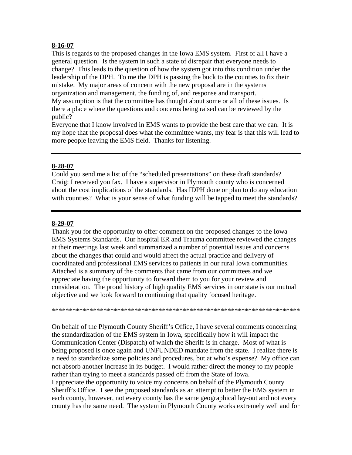#### **8-16-07**

This is regards to the proposed changes in the Iowa EMS system. First of all I have a general question. Is the system in such a state of disrepair that everyone needs to change? This leads to the question of how the system got into this condition under the leadership of the DPH. To me the DPH is passing the buck to the counties to fix their mistake. My major areas of concern with the new proposal are in the systems organization and management, the funding of, and response and transport. My assumption is that the committee has thought about some or all of these issues. Is there a place where the questions and concerns being raised can be reviewed by the public?

Everyone that I know involved in EMS wants to provide the best care that we can. It is my hope that the proposal does what the committee wants, my fear is that this will lead to more people leaving the EMS field. Thanks for listening.

#### **8-28-07**

Could you send me a list of the "scheduled presentations" on these draft standards? Craig: I received you fax. I have a supervisor in Plymouth county who is concerned about the cost implications of the standards. Has IDPH done or plan to do any education with counties? What is your sense of what funding will be tapped to meet the standards?

#### **8-29-07**

Thank you for the opportunity to offer comment on the proposed changes to the Iowa EMS Systems Standards. Our hospital ER and Trauma committee reviewed the changes at their meetings last week and summarized a number of potential issues and concerns about the changes that could and would affect the actual practice and delivery of coordinated and professional EMS services to patients in our rural Iowa communities. Attached is a summary of the comments that came from our committees and we appreciate having the opportunity to forward them to you for your review and consideration. The proud history of high quality EMS services in our state is our mutual objective and we look forward to continuing that quality focused heritage.

\*\*\*\*\*\*\*\*\*\*\*\*\*\*\*\*\*\*\*\*\*\*\*\*\*\*\*\*\*\*\*\*\*\*\*\*\*\*\*\*\*\*\*\*\*\*\*\*\*\*\*\*\*\*\*\*\*\*\*\*\*\*\*\*\*\*\*\*\*\*\*\*

On behalf of the Plymouth County Sheriff's Office, I have several comments concerning the standardization of the EMS system in Iowa, specifically how it will impact the Communication Center (Dispatch) of which the Sheriff is in charge. Most of what is being proposed is once again and UNFUNDED mandate from the state. I realize there is a need to standardize some policies and procedures, but at who's expense? My office can not absorb another increase in its budget. I would rather direct the money to my people rather than trying to meet a standards passed off from the State of Iowa. I appreciate the opportunity to voice my concerns on behalf of the Plymouth County Sheriff's Office. I see the proposed standards as an attempt to better the EMS system in each county, however, not every county has the same geographical lay-out and not every county has the same need. The system in Plymouth County works extremely well and for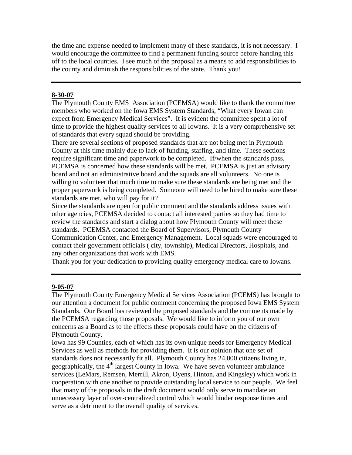the time and expense needed to implement many of these standards, it is not necessary. I would encourage the committee to find a permanent funding source before handing this off to the local counties. I see much of the proposal as a means to add responsibilities to the county and diminish the responsibilities of the state. Thank you!

#### **8-30-07**

The Plymouth County EMS Association (PCEMSA) would like to thank the committee members who worked on the Iowa EMS System Standards, "What every Iowan can expect from Emergency Medical Services". It is evident the committee spent a lot of time to provide the highest quality services to all Iowans. It is a very comprehensive set of standards that every squad should be providing.

There are several sections of proposed standards that are not being met in Plymouth County at this time mainly due to lack of funding, staffing, and time. These sections require significant time and paperwork to be completed. If/when the standards pass, PCEMSA is concerned how these standards will be met. PCEMSA is just an advisory board and not an administrative board and the squads are all volunteers. No one is willing to volunteer that much time to make sure these standards are being met and the proper paperwork is being completed. Someone will need to be hired to make sure these standards are met, who will pay for it?

Since the standards are open for public comment and the standards address issues with other agencies, PCEMSA decided to contact all interested parties so they had time to review the standards and start a dialog about how Plymouth County will meet these standards. PCEMSA contacted the Board of Supervisors, Plymouth County Communication Center, and Emergency Management. Local squads were encouraged to contact their government officials ( city, township), Medical Directors, Hospitals, and any other organizations that work with EMS.

Thank you for your dedication to providing quality emergency medical care to Iowans.

#### **9-05-07**

The Plymouth County Emergency Medical Services Association (PCEMS) has brought to our attention a document for public comment concerning the proposed Iowa EMS System Standards. Our Board has reviewed the proposed standards and the comments made by the PCEMSA regarding those proposals. We would like to inform you of our own concerns as a Board as to the effects these proposals could have on the citizens of Plymouth County.

Iowa has 99 Counties, each of which has its own unique needs for Emergency Medical Services as well as methods for providing them. It is our opinion that one set of standards does not necessarily fit all. Plymouth County has 24,000 citizens living in, geographically, the  $4<sup>th</sup>$  largest County in Iowa. We have seven volunteer ambulance services (LeMars, Remsen, Merrill, Akron, Oyens, Hinton, and Kingsley) which work in cooperation with one another to provide outstanding local service to our people. We feel that many of the proposals in the draft document would only serve to mandate an unnecessary layer of over-centralized control which would hinder response times and serve as a detriment to the overall quality of services.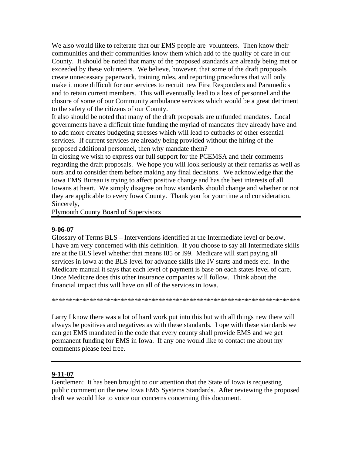We also would like to reiterate that our EMS people are volunteers. Then know their communities and their communities know them which add to the quality of care in our County. It should be noted that many of the proposed standards are already being met or exceeded by these volunteers. We believe, however, that some of the draft proposals create unnecessary paperwork, training rules, and reporting procedures that will only make it more difficult for our services to recruit new First Responders and Paramedics and to retain current members. This will eventually lead to a loss of personnel and the closure of some of our Community ambulance services which would be a great detriment to the safety of the citizens of our County.

It also should be noted that many of the draft proposals are unfunded mandates. Local governments have a difficult time funding the myriad of mandates they already have and to add more creates budgeting stresses which will lead to cutbacks of other essential services. If current services are already being provided without the hiring of the proposed additional personnel, then why mandate them?

In closing we wish to express our full support for the PCEMSA and their comments regarding the draft proposals. We hope you will look seriously at their remarks as well as ours and to consider them before making any final decisions. We acknowledge that the Iowa EMS Bureau is trying to affect positive change and has the best interests of all Iowans at heart. We simply disagree on how standards should change and whether or not they are applicable to every Iowa County. Thank you for your time and consideration. Sincerely,

Plymouth County Board of Supervisors

#### **9-06-07**

Glossary of Terms BLS – Interventions identified at the Intermediate level or below. I have am very concerned with this definition. If you choose to say all Intermediate skills are at the BLS level whether that means I85 or I99. Medicare will start paying all services in Iowa at the BLS level for advance skills like IV starts and meds etc. In the Medicare manual it says that each level of payment is base on each states level of care. Once Medicare does this other insurance companies will follow. Think about the financial impact this will have on all of the services in Iowa.

\*\*\*\*\*\*\*\*\*\*\*\*\*\*\*\*\*\*\*\*\*\*\*\*\*\*\*\*\*\*\*\*\*\*\*\*\*\*\*\*\*\*\*\*\*\*\*\*\*\*\*\*\*\*\*\*\*\*\*\*\*\*\*\*\*\*\*\*\*\*\*\*

Larry I know there was a lot of hard work put into this but with all things new there will always be positives and negatives as with these standards. I ope with these standards we can get EMS mandated in the code that every county shall provide EMS and we get permanent funding for EMS in Iowa. If any one would like to contact me about my comments please feel free.

## **9-11-07**

Gentlemen: It has been brought to our attention that the State of Iowa is requesting public comment on the new Iowa EMS Systems Standards. After reviewing the proposed draft we would like to voice our concerns concerning this document.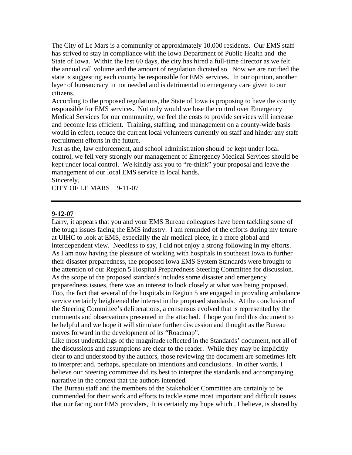The City of Le Mars is a community of approximately 10,000 residents. Our EMS staff has strived to stay in compliance with the Iowa Department of Public Health and the State of Iowa. Within the last 60 days, the city has hired a full-time director as we felt the annual call volume and the amount of regulation dictated so. Now we are notified the state is suggesting each county be responsible for EMS services. In our opinion, another layer of bureaucracy in not needed and is detrimental to emergency care given to our citizens.

According to the proposed regulations, the State of Iowa is proposing to have the county responsible for EMS services. Not only would we lose the control over Emergency Medical Services for our community, we feel the costs to provide services will increase and become less efficient. Training, staffing, and management on a county-wide basis would in effect, reduce the current local volunteers currently on staff and hinder any staff recruitment efforts in the future.

Just as the, law enforcement, and school administration should be kept under local control, we fell very strongly our management of Emergency Medical Services should be kept under local control. We kindly ask you to "re-think" your proposal and leave the management of our local EMS service in local hands. Sincerely,

CITY OF LE MARS 9-11-07

#### **9-12-07**

Larry, it appears that you and your EMS Bureau colleagues have been tackling some of the tough issues facing the EMS industry. I am reminded of the efforts during my tenure at UIHC to look at EMS, especially the air medical piece, in a more global and interdependent view. Needless to say, I did not enjoy a strong following in my efforts. As I am now having the pleasure of working with hospitals in southeast Iowa to further their disaster preparedness, the proposed Iowa EMS System Standards were brought to the attention of our Region 5 Hospital Preparedness Steering Committee for discussion. As the scope of the proposed standards includes some disaster and emergency preparedness issues, there was an interest to look closely at what was being proposed. Too, the fact that several of the hospitals in Region 5 are engaged in providing ambulance service certainly heightened the interest in the proposed standards. At the conclusion of the Steering Committee's deliberations, a consensus evolved that is represented by the comments and observations presented in the attached. I hope you find this document to be helpful and we hope it will stimulate further discussion and thought as the Bureau moves forward in the development of its "Roadmap".

Like most undertakings of the magnitude reflected in the Standards' document, not all of the discussions and assumptions are clear to the reader. While they may be implicitly clear to and understood by the authors, those reviewing the document are sometimes left to interpret and, perhaps, speculate on intentions and conclusions. In other words, I believe our Steering committee did its best to interpret the standards and accompanying narrative in the context that the authors intended.

The Bureau staff and the members of the Stakeholder Committee are certainly to be commended for their work and efforts to tackle some most important and difficult issues that our facing our EMS providers, It is certainly my hope which , I believe, is shared by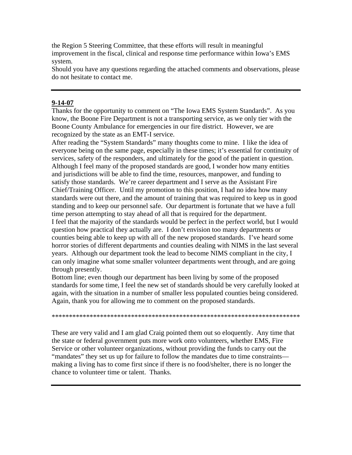the Region 5 Steering Committee, that these efforts will result in meaningful improvement in the fiscal, clinical and response time performance within Iowa's EMS system.

Should you have any questions regarding the attached comments and observations, please do not hesitate to contact me.

#### **9-14-07**

Thanks for the opportunity to comment on "The Iowa EMS System Standards". As you know, the Boone Fire Department is not a transporting service, as we only tier with the Boone County Ambulance for emergencies in our fire district. However, we are recognized by the state as an EMT-I service.

After reading the "System Standards" many thoughts come to mine. I like the idea of everyone being on the same page, especially in these times; it's essential for continuity of services, safety of the responders, and ultimately for the good of the patient in question. Although I feel many of the proposed standards are good, I wonder how many entities and jurisdictions will be able to find the time, resources, manpower, and funding to satisfy those standards. We're career department and I serve as the Assistant Fire Chief/Training Officer. Until my promotion to this position, I had no idea how many standards were out there, and the amount of training that was required to keep us in good standing and to keep our personnel safe. Our department is fortunate that we have a full time person attempting to stay ahead of all that is required for the department. I feel that the majority of the standards would be perfect in the perfect world, but I would question how practical they actually are. I don't envision too many departments or counties being able to keep up with all of the new proposed standards. I've heard some horror stories of different departments and counties dealing with NIMS in the last several years. Although our department took the lead to become NIMS compliant in the city, I can only imagine what some smaller volunteer departments went through, and are going through presently.

Bottom line; even though our department has been living by some of the proposed standards for some time, I feel the new set of standards should be very carefully looked at again, with the situation in a number of smaller less populated counties being considered. Again, thank you for allowing me to comment on the proposed standards.

\*\*\*\*\*\*\*\*\*\*\*\*\*\*\*\*\*\*\*\*\*\*\*\*\*\*\*\*\*\*\*\*\*\*\*\*\*\*\*\*\*\*\*\*\*\*\*\*\*\*\*\*\*\*\*\*\*\*\*\*\*\*\*\*\*\*\*\*\*\*\*\*

These are very valid and I am glad Craig pointed them out so eloquently. Any time that the state or federal government puts more work onto volunteers, whether EMS, Fire Service or other volunteer organizations, without providing the funds to carry out the "mandates" they set us up for failure to follow the mandates due to time constraints making a living has to come first since if there is no food/shelter, there is no longer the chance to volunteer time or talent. Thanks.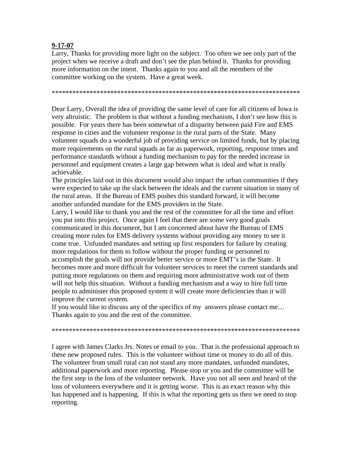#### **9-17-07**

Larry, Thanks for providing more light on the subject. Too often we see only part of the project when we receive a draft and don't see the plan behind it. Thanks for providing more information on the intent. Thanks again to you and all the members of the committee working on the system. Have a great week.

\*\*\*\*\*\*\*\*\*\*\*\*\*\*\*\*\*\*\*\*\*\*\*\*\*\*\*\*\*\*\*\*\*\*\*\*\*\*\*\*\*\*\*\*\*\*\*\*\*\*\*\*\*\*\*\*\*\*\*\*\*\*\*\*\*\*\*\*\*\*\*\*

Dear Larry, Overall the idea of providing the same level of care for all citizens of Iowa is very altruistic. The problem is that without a funding mechanism, I don't see how this is possible. For years there has been somewhat of a disparity between paid Fire and EMS response in cities and the volunteer response in the rural parts of the State. Many volunteer squads do a wonderful job of providing service on limited funds, but by placing more requirements on the rural squads as far as paperwork, reporting, response times and performance standards without a funding mechanism to pay for the needed increase in personnel and equipment creates a large gap between what is ideal and what is really achievable.

The principles laid out in this document would also impact the urban communities if they were expected to take up the slack between the ideals and the current situation in many of the rural areas. If the Bureau of EMS pushes this standard forward, it will become another unfunded mandate for the EMS providers in the State.

Larry, I would like to thank you and the rest of the committee for all the time and effort you put into this project. Once again I feel that there are some very good goals communicated in this document, but I am concerned about have the Bureau of EMS creating more rules for EMS delivery systems without providing any money to see it come true. Unfunded mandates and setting up first responders for failure by creating more regulations for them to follow without the proper funding or personnel to accomplish the goals will not provide better service or more EMT's in the State. It becomes more and more difficult for volunteer services to meet the current standards and putting more regulations on them and requiring more administrative work out of them will not help this situation. Without a funding mechanism and a way to hire full time people to administer this proposed system it will create more deficiencies than it will improve the current system.

If you would like to discuss any of the specifics of my answers please contact me… Thanks again to you and the rest of the committee.

\*\*\*\*\*\*\*\*\*\*\*\*\*\*\*\*\*\*\*\*\*\*\*\*\*\*\*\*\*\*\*\*\*\*\*\*\*\*\*\*\*\*\*\*\*\*\*\*\*\*\*\*\*\*\*\*\*\*\*\*\*\*\*\*\*\*\*\*\*\*\*\*

I agree with James Clarks Jrs. Notes or email to you. That is the professional approach to these new proposed rules. This is the volunteer without time or money to do all of this. The volunteer from small rural can not stand any more mandates, unfunded mandates, additional paperwork and more reporting. Please stop or you and the committee will be the first step in the loss of the volunteer network. Have you not all seen and heard of the loss of volunteers everywhere and it is getting worse. This is an exact reason why this has happened and is happening. If this is what the reporting gets us then we need to stop reporting.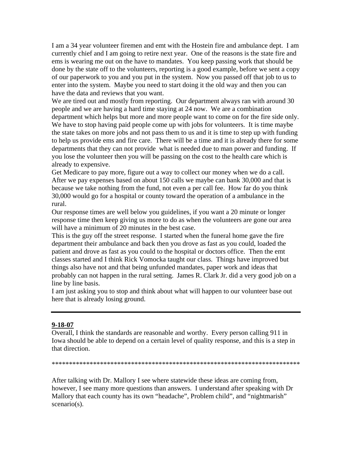I am a 34 year volunteer firemen and emt with the Hostein fire and ambulance dept. I am currently chief and I am going to retire next year. One of the reasons is the state fire and ems is wearing me out on the have to mandates. You keep passing work that should be done by the state off to the volunteers, reporting is a good example, before we sent a copy of our paperwork to you and you put in the system. Now you passed off that job to us to enter into the system. Maybe you need to start doing it the old way and then you can have the data and reviews that you want.

We are tired out and mostly from reporting. Our department always ran with around 30 people and we are having a hard time staying at 24 now. We are a combination department which helps but more and more people want to come on for the fire side only. We have to stop having paid people come up with jobs for volunteers. It is time maybe the state takes on more jobs and not pass them to us and it is time to step up with funding to help us provide ems and fire care. There will be a time and it is already there for some departments that they can not provide what is needed due to man power and funding. If you lose the volunteer then you will be passing on the cost to the health care which is already to expensive.

Get Medicare to pay more, figure out a way to collect our money when we do a call. After we pay expenses based on about 150 calls we maybe can bank 30,000 and that is because we take nothing from the fund, not even a per call fee. How far do you think 30,000 would go for a hospital or county toward the operation of a ambulance in the rural.

Our response times are well below you guidelines, if you want a 20 minute or longer response time then keep giving us more to do as when the volunteers are gone our area will have a minimum of 20 minutes in the best case.

This is the guy off the street response. I started when the funeral home gave the fire department their ambulance and back then you drove as fast as you could, loaded the patient and drove as fast as you could to the hospital or doctors office. Then the emt classes started and I think Rick Vomocka taught our class. Things have improved but things also have not and that being unfunded mandates, paper work and ideas that probably can not happen in the rural setting. James R. Clark Jr. did a very good job on a line by line basis.

I am just asking you to stop and think about what will happen to our volunteer base out here that is already losing ground.

#### **9-18-07**

Overall, I think the standards are reasonable and worthy. Every person calling 911 in Iowa should be able to depend on a certain level of quality response, and this is a step in that direction.

\*\*\*\*\*\*\*\*\*\*\*\*\*\*\*\*\*\*\*\*\*\*\*\*\*\*\*\*\*\*\*\*\*\*\*\*\*\*\*\*\*\*\*\*\*\*\*\*\*\*\*\*\*\*\*\*\*\*\*\*\*\*\*\*\*\*\*\*\*\*\*\*

After talking with Dr. Mallory I see where statewide these ideas are coming from, however, I see many more questions than answers. I understand after speaking with Dr Mallory that each county has its own "headache", Problem child", and "nightmarish" scenario(s).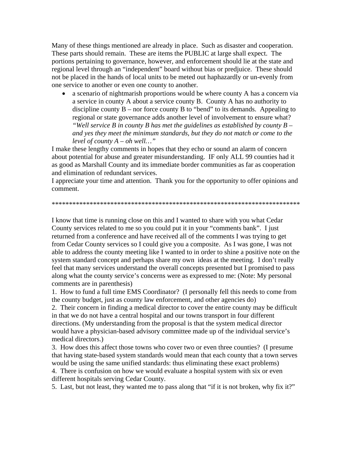Many of these things mentioned are already in place. Such as disaster and cooperation. These parts should remain. These are items the PUBLIC at large shall expect. The portions pertaining to governance, however, and enforcement should lie at the state and regional level through an "independent" board without bias or predjuice. These should not be placed in the hands of local units to be meted out haphazardly or un-evenly from one service to another or even one county to another.

• a scenario of nightmarish proportions would be where county A has a concern via a service in county A about a service county B. County A has no authority to discipline county  $\overline{B}$  – nor force county B to "bend" to its demands. Appealing to regional or state governance adds another level of involvement to ensure what? *"Well service B in county B has met the guidelines as established by county B – and yes they meet the minimum standards, but they do not match or come to the level of county A – oh well…"* 

I make these lengthy comments in hopes that they echo or sound an alarm of concern about potential for abuse and greater misunderstanding. IF only ALL 99 counties had it as good as Marshall County and its immediate border communities as far as cooperation and elimination of redundant services.

I appreciate your time and attention. Thank you for the opportunity to offer opinions and comment.

\*\*\*\*\*\*\*\*\*\*\*\*\*\*\*\*\*\*\*\*\*\*\*\*\*\*\*\*\*\*\*\*\*\*\*\*\*\*\*\*\*\*\*\*\*\*\*\*\*\*\*\*\*\*\*\*\*\*\*\*\*\*\*\*\*\*\*\*\*\*\*\*

I know that time is running close on this and I wanted to share with you what Cedar County services related to me so you could put it in your "comments bank". I just returned from a conference and have received all of the comments I was trying to get from Cedar County services so I could give you a composite. As I was gone, I was not able to address the county meeting like I wanted to in order to shine a positive note on the system standard concept and perhaps share my own ideas at the meeting. I don't really feel that many services understand the overall concepts presented but I promised to pass along what the county service's concerns were as expressed to me: (Note: My personal comments are in parenthesis)

1. How to fund a full time EMS Coordinator? (I personally fell this needs to come from the county budget, just as county law enforcement, and other agencies do)

2. Their concern in finding a medical director to cover the entire county may be difficult in that we do not have a central hospital and our towns transport in four different directions. (My understanding from the proposal is that the system medical director would have a physician-based advisory committee made up of the individual service's medical directors.)

3. How does this affect those towns who cover two or even three counties? (I presume that having state-based system standards would mean that each county that a town serves would be using the same unified standards: thus eliminating these exact problems)

4. There is confusion on how we would evaluate a hospital system with six or even different hospitals serving Cedar County.

5. Last, but not least, they wanted me to pass along that "if it is not broken, why fix it?"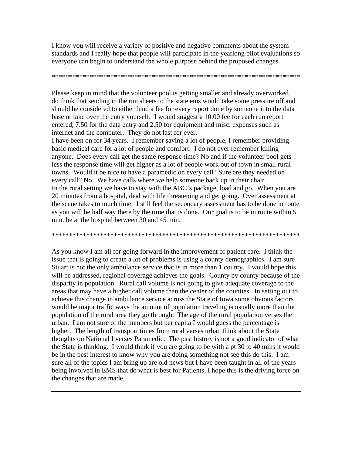I know you will receive a variety of positive and negative comments about the system standards and I really hope that people will participate in the yearlong pilot evaluations so everyone can begin to understand the whole purpose behind the proposed changes.

Please keep in mind that the volunteer pool is getting smaller and already overworked. I do think that sending in the run sheets to the state ems would take some pressure off and should be considered to either fund a fee for every report done by someone into the data base or take over the entry yourself. I would suggest a 10.00 fee for each run report entered, 7.50 for the data entry and 2.50 for equipment and misc. expenses such as internet and the computer. They do not last for ever.

I have been on for 34 years. I remember saving a lot of people, I remember providing basic medical care for a lot of people and comfort. I do not ever remember killing anyone. Does every call get the same response time? No and if the volunteer pool gets less the response time will get higher as a lot of people work out of town in small rural towns. Would it be nice to have a paramedic on every call? Sure are they needed on every call? No. We have calls where we help someone back up in their chair. In the rural setting we have to stay with the ABC's package, load and go. When you are 20 minutes from a hospital, deal with life threatening and get going. Over assessment at the scene takes to much time. I still feel the secondary assessment has to be done in route as you will be half way there by the time that is done. Our goal is to be in route within 5 min. be at the hospital between 30 and 45 min.

As you know I am all for going forward in the improvement of patient care. I think the issue that is going to create a lot of problems is using a county demographics. I am sure Stuart is not the only ambulance service that is in more than 1 county. I would hope this will be addressed, regional coverage achieves the goals. County by county because of the disparity in population. Rural call volume is not going to give adequate coverage to the areas that may have a higher call volume than the center of the counties. In setting out to achieve this change in ambulance service across the State of Iowa some obvious factors would be major traffic ways the amount of population traveling is usually more than the population of the rural area they go through. The age of the rural population verses the urban. I am not sure of the numbers but per capita I would guess the percentage is higher. The length of transport times from rural verses urban think about the State thoughts on National I verses Paramedic. The past history is not a good indicator of what the State is thinking. I would think if you are going to be with a pt 30 to 40 mins it would be in the best interest to know why you are doing something not see this do this. I am sure all of the topics I am bring up are old news but I have been taught in all of the years being involved in EMS that do what is best for Patients, I hope this is the driving force on the changes that are made.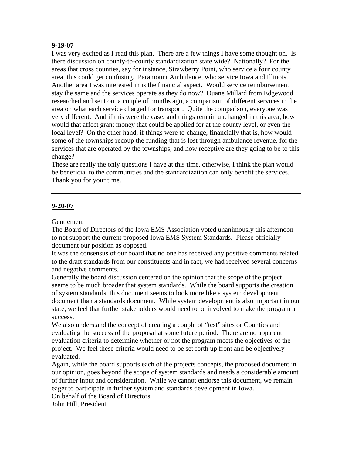#### **9-19-07**

I was very excited as I read this plan. There are a few things I have some thought on. Is there discussion on county-to-county standardization state wide? Nationally? For the areas that cross counties, say for instance, Strawberry Point, who service a four county area, this could get confusing. Paramount Ambulance, who service Iowa and Illinois. Another area I was interested in is the financial aspect. Would service reimbursement stay the same and the services operate as they do now? Duane Millard from Edgewood researched and sent out a couple of months ago, a comparison of different services in the area on what each service charged for transport. Quite the comparison, everyone was very different. And if this were the case, and things remain unchanged in this area, how would that affect grant money that could be applied for at the county level, or even the local level? On the other hand, if things were to change, financially that is, how would some of the townships recoup the funding that is lost through ambulance revenue, for the services that are operated by the townships, and how receptive are they going to be to this change?

These are really the only questions I have at this time, otherwise, I think the plan would be beneficial to the communities and the standardization can only benefit the services. Thank you for your time.

#### **9-20-07**

Gentlemen:

The Board of Directors of the Iowa EMS Association voted unanimously this afternoon to not support the current proposed Iowa EMS System Standards. Please officially document our position as opposed.

It was the consensus of our board that no one has received any positive comments related to the draft standards from our constituents and in fact, we had received several concerns and negative comments.

Generally the board discussion centered on the opinion that the scope of the project seems to be much broader that system standards. While the board supports the creation of system standards, this document seems to look more like a system development document than a standards document. While system development is also important in our state, we feel that further stakeholders would need to be involved to make the program a success.

We also understand the concept of creating a couple of "test" sites or Counties and evaluating the success of the proposal at some future period. There are no apparent evaluation criteria to determine whether or not the program meets the objectives of the project. We feel these criteria would need to be set forth up front and be objectively evaluated.

Again, while the board supports each of the projects concepts, the proposed document in our opinion, goes beyond the scope of system standards and needs a considerable amount of further input and consideration. While we cannot endorse this document, we remain eager to participate in further system and standards development in Iowa.

On behalf of the Board of Directors,

John Hill, President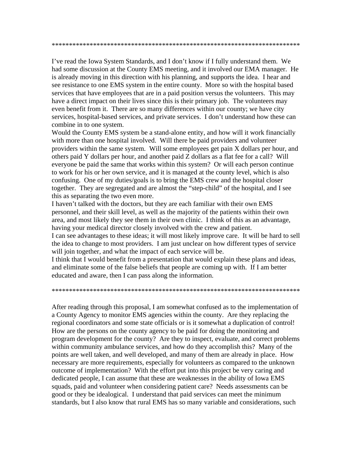\*\*\*\*\*\*\*\*\*\*\*\*\*\*\*\*\*\*\*\*\*\*\*\*\*\*\*\*\*\*\*\*\*\*\*\*\*\*\*\*\*\*\*\*\*\*\*\*\*\*\*\*\*\*\*\*\*\*\*\*\*\*\*\*\*\*\*\*\*\*\*\*

I've read the Iowa System Standards, and I don't know if I fully understand them. We had some discussion at the County EMS meeting, and it involved our EMA manager. He is already moving in this direction with his planning, and supports the idea. I hear and see resistance to one EMS system in the entire county. More so with the hospital based services that have employees that are in a paid position versus the volunteers. This may have a direct impact on their lives since this is their primary job. The volunteers may even benefit from it. There are so many differences within our county; we have city services, hospital-based services, and private services. I don't understand how these can combine in to one system.

Would the County EMS system be a stand-alone entity, and how will it work financially with more than one hospital involved. Will there be paid providers and volunteer providers within the same system. Will some employees get pain X dollars per hour, and others paid Y dollars per hour, and another paid Z dollars as a flat fee for a call? Will everyone be paid the same that works within this system? Or will each person continue to work for his or her own service, and it is managed at the county level, which is also confusing. One of my duties/goals is to bring the EMS crew and the hospital closer together. They are segregated and are almost the "step-child" of the hospital, and I see this as separating the two even more.

I haven't talked with the doctors, but they are each familiar with their own EMS personnel, and their skill level, as well as the majority of the patients within their own area, and most likely they see them in their own clinic. I think of this as an advantage, having your medical director closely involved with the crew and patient.

I can see advantages to these ideas; it will most likely improve care. It will be hard to sell the idea to change to most providers. I am just unclear on how different types of service will join together, and what the impact of each service will be.

I think that I would benefit from a presentation that would explain these plans and ideas, and eliminate some of the false beliefs that people are coming up with. If I am better educated and aware, then I can pass along the information.

#### \*\*\*\*\*\*\*\*\*\*\*\*\*\*\*\*\*\*\*\*\*\*\*\*\*\*\*\*\*\*\*\*\*\*\*\*\*\*\*\*\*\*\*\*\*\*\*\*\*\*\*\*\*\*\*\*\*\*\*\*\*\*\*\*\*\*\*\*\*\*\*\*

After reading through this proposal, I am somewhat confused as to the implementation of a County Agency to monitor EMS agencies within the county. Are they replacing the regional coordinators and some state officials or is it somewhat a duplication of control! How are the persons on the county agency to be paid for doing the monitoring and program development for the county? Are they to inspect, evaluate, and correct problems within community ambulance services, and how do they accomplish this? Many of the points are well taken, and well developed, and many of them are already in place. How necessary are more requirements, especially for volunteers as compared to the unknown outcome of implementation? With the effort put into this project be very caring and dedicated people, I can assume that these are weaknesses in the ability of Iowa EMS squads, paid and volunteer when considering patient care? Needs assessments can be good or they be idealogical. I understand that paid services can meet the minimum standards, but I also know that rural EMS has so many variable and considerations, such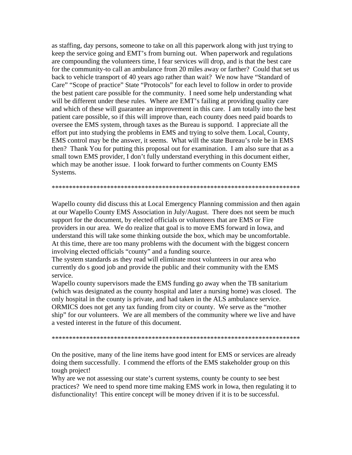as staffing, day persons, someone to take on all this paperwork along with just trying to keep the service going and EMT's from burning out. When paperwork and regulations are compounding the volunteers time, I fear services will drop, and is that the best care for the community-to call an ambulance from 20 miles away or farther? Could that set us back to vehicle transport of 40 years ago rather than wait? We now have "Standard of Care" "Scope of practice" State "Protocols" for each level to follow in order to provide the best patient care possible for the community. I need some help understanding what will be different under these rules. Where are EMT's failing at providing quality care and which of these will guarantee an improvement in this care. I am totally into the best patient care possible, so if this will improve than, each county does need paid boards to oversee the EMS system, through taxes as the Bureau is supportd. I appreciate all the effort put into studying the problems in EMS and trying to solve them. Local, County, EMS control may be the answer, it seems. What will the state Bureau's role be in EMS then? Thank You for putting this proposal out for examination. I am also sure that as a small town EMS provider, I don't fully understand everything in this document either, which may be another issue. I look forward to further comments on County EMS Systems.

\*\*\*\*\*\*\*\*\*\*\*\*\*\*\*\*\*\*\*\*\*\*\*\*\*\*\*\*\*\*\*\*\*\*\*\*\*\*\*\*\*\*\*\*\*\*\*\*\*\*\*\*\*\*\*\*\*\*\*\*\*\*\*\*\*\*\*\*\*\*\*\*

Wapello county did discuss this at Local Emergency Planning commission and then again at our Wapello County EMS Association in July/August. There does not seem be much support for the document, by elected officials or volunteers that are EMS or Fire providers in our area. We do realize that goal is to move EMS forward in Iowa, and understand this will take some thinking outside the box, which may be uncomfortable. At this time, there are too many problems with the document with the biggest concern involving elected officials "county" and a funding source.

The system standards as they read will eliminate most volunteers in our area who currently do s good job and provide the public and their community with the EMS service.

Wapello county supervisors made the EMS funding go away when the TB sanitarium (which was designated as the county hospital and later a nursing home) was closed. The only hospital in the county is private, and had taken in the ALS ambulance service. ORMICS does not get any tax funding from city or county. We serve as the "mother ship" for our volunteers. We are all members of the community where we live and have a vested interest in the future of this document.

\*\*\*\*\*\*\*\*\*\*\*\*\*\*\*\*\*\*\*\*\*\*\*\*\*\*\*\*\*\*\*\*\*\*\*\*\*\*\*\*\*\*\*\*\*\*\*\*\*\*\*\*\*\*\*\*\*\*\*\*\*\*\*\*\*\*\*\*\*\*\*\*

On the positive, many of the line items have good intent for EMS or services are already doing them successfully. I commend the efforts of the EMS stakeholder group on this tough project!

Why are we not assessing our state's current systems, county be county to see best practices? We need to spend more time making EMS work in Iowa, then regulating it to disfunctionality! This entire concept will be money driven if it is to be successful.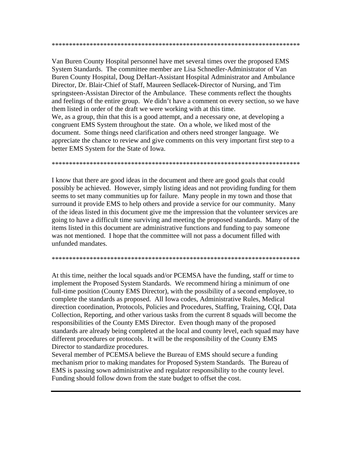Van Buren County Hospital personnel have met several times over the proposed EMS System Standards. The committee member are Lisa Schnedler-Administrator of Van Buren County Hospital, Doug DeHart-Assistant Hospital Administrator and Ambulance Director, Dr. Blair-Chief of Staff, Maureen Sedlacek-Director of Nursing, and Tim springsteen-Assistan Director of the Ambulance. These comments reflect the thoughts and feelings of the entire group. We didn't have a comment on every section, so we have them listed in order of the draft we were working with at this time. We, as a group, thin that this is a good attempt, and a necessary one, at developing a congruent EMS System throughout the state. On a whole, we liked most of the document. Some things need clarification and others need stronger language. We appreciate the chance to review and give comments on this very important first step to a better EMS System for the State of Iowa.

I know that there are good ideas in the document and there are good goals that could possibly be achieved. However, simply listing ideas and not providing funding for them seems to set many communities up for failure. Many people in my town and those that surround it provide EMS to help others and provide a service for our community. Many of the ideas listed in this document give me the impression that the volunteer services are going to have a difficult time surviving and meeting the proposed standards. Many of the items listed in this document are administrative functions and funding to pay someone was not mentioned. I hope that the committee will not pass a document filled with unfunded mandates.

At this time, neither the local squads and/or PCEMSA have the funding, staff or time to implement the Proposed System Standards. We recommend hiring a minimum of one full-time position (County EMS Director), with the possibility of a second employee, to complete the standards as proposed. All Iowa codes, Administrative Rules, Medical direction coordination, Protocols, Policies and Procedures, Staffing, Training, CQI, Data Collection, Reporting, and other various tasks from the current 8 squads will become the responsibilities of the County EMS Director. Even though many of the proposed standards are already being completed at the local and county level, each squad may have different procedures or protocols. It will be the responsibility of the County EMS Director to standardize procedures.

Several member of PCEMSA believe the Bureau of EMS should secure a funding mechanism prior to making mandates for Proposed System Standards. The Bureau of EMS is passing sown administrative and regulator responsibility to the county level. Funding should follow down from the state budget to offset the cost.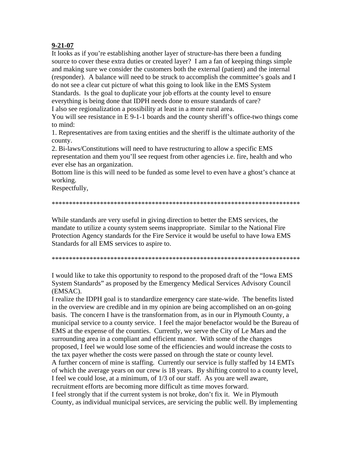## $9 - 21 - 07$

It looks as if you're establishing another layer of structure-has there been a funding source to cover these extra duties or created layer? I am a fan of keeping things simple and making sure we consider the customers both the external (patient) and the internal (responder). A balance will need to be struck to accomplish the committee's goals and I do not see a clear cut picture of what this going to look like in the EMS System Standards. Is the goal to duplicate your job efforts at the county level to ensure everything is being done that IDPH needs done to ensure standards of care? I also see regionalization a possibility at least in a more rural area.

You will see resistance in E 9-1-1 boards and the county sheriff's office-two things come to mind:

1. Representatives are from taxing entities and the sheriff is the ultimate authority of the county.

2. Bi-laws/Constitutions will need to have restructuring to allow a specific EMS representation and them you'll see request from other agencies *i.e.* fire, health and who ever else has an organization.

Bottom line is this will need to be funded as some level to even have a ghost's chance at working.

Respectfully,

While standards are very useful in giving direction to better the EMS services, the mandate to utilize a county system seems inappropriate. Similar to the National Fire Protection Agency standards for the Fire Service it would be useful to have Iowa EMS Standards for all EMS services to aspire to.

I would like to take this opportunity to respond to the proposed draft of the "Iowa EMS" System Standards" as proposed by the Emergency Medical Services Advisory Council (EMSAC).

I realize the IDPH goal is to standardize emergency care state-wide. The benefits listed in the overview are credible and in my opinion are being accomplished on an on-going basis. The concern I have is the transformation from, as in our in Plymouth County, a municipal service to a county service. I feel the major benefactor would be the Bureau of EMS at the expense of the counties. Currently, we serve the City of Le Mars and the surrounding area in a compliant and efficient manor. With some of the changes proposed, I feel we would lose some of the efficiencies and would increase the costs to the tax payer whether the costs were passed on through the state or county level. A further concern of mine is staffing. Currently our service is fully staffed by 14 EMTs of which the average years on our crew is 18 years. By shifting control to a county level, I feel we could lose, at a minimum, of 1/3 of our staff. As you are well aware, recruitment efforts are becoming more difficult as time moves forward. I feel strongly that if the current system is not broke, don't fix it. We in Plymouth County, as individual municipal services, are servicing the public well. By implementing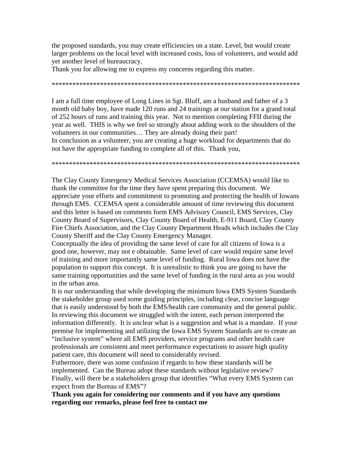the proposed standards, you may create efficiencies on a state. Level, but would create larger problems on the local level with increased costs, loss of volunteers, and would add yet another level of bureaucracy.

Thank you for allowing me to express my concerns regarding this matter.

\*\*\*\*\*\*\*\*\*\*\*\*\*\*\*\*\*\*\*\*\*\*\*\*\*\*\*\*\*\*\*\*\*\*\*\*\*\*\*\*\*\*\*\*\*\*\*\*\*\*\*\*\*\*\*\*\*\*\*\*\*\*\*\*\*\*\*\*\*\*\*\*

I am a full time employee of Long Lines in Sgt. Bluff, am a husband and father of a 3 month old baby boy, have made 120 runs and 24 trainings at our station for a grand total of 252 hours of runs and training this year. Not to mention completing FFII during the year as well. THIS is why we feel so strongly about adding work to the shoulders of the volunteers in our communities… They are already doing their part! In conclusion as a volunteer, you are creating a huge workload for departments that do not have the appropriate funding to complete all of this. Thank you,

\*\*\*\*\*\*\*\*\*\*\*\*\*\*\*\*\*\*\*\*\*\*\*\*\*\*\*\*\*\*\*\*\*\*\*\*\*\*\*\*\*\*\*\*\*\*\*\*\*\*\*\*\*\*\*\*\*\*\*\*\*\*\*\*\*\*\*\*\*\*\*\*

The Clay County Emergency Medical Services Association (CCEMSA) would like to thank the committee for the time they have spent preparing this document. We appreciate your efforts and commitment to promoting and protecting the health of Iowans through EMS. CCEMSA spent a considerable amount of time reviewing this document and this letter is based on comments form EMS Advisory Council, EMS Services, Clay County Board of Supervisors, Clay County Board of Health, E-911 Board, Clay County Fire Chiefs Association, and the Clay County Department Heads which includes the Clay County Sheriff and the Clay County Emergency Manager.

Conceptually the idea of providing the same level of care for all citizens of Iowa is a good one, however, may not e obtainable. Same level of care would require same level of training and more importantly same level of funding. Rural Iowa does not have the population to support this concept. It is unrealistic to think you are going to have the same training opportunities and the same level of funding in the rural area as you would in the urban area.

It is our understanding that while developing the minimum Iowa EMS System Standards the stakeholder group used some guiding principles, including clear, concise language that is easily understood by both the EMS/health care community and the general public. In reviewing this document we struggled with the intent, each person interpreted the information differently. It is unclear what is a suggestion and what is a mandate. If your premise for implementing and utilizing the Iowa EMS System Standards are to create an "inclusive system" where all EMS providers, service programs and other health care professionals are consistent and meet performance expectations to assure high quality patient care, this document will need to considerably revised.

Futhermore, there was some confusion if regards to how these standards will be implemented. Can the Bureau adopt these standards without legislative review? Finally, will there be a stakeholders group that identifies "What every EMS System can expect from the Bureau of EMS"?

**Thank you again for considering our comments and if you have any questions regarding our remarks, please feel free to contact me**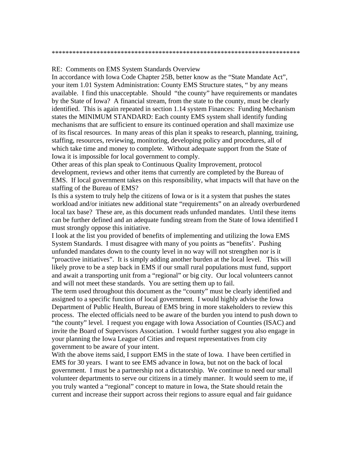RE: Comments on EMS System Standards Overview

In accordance with Iowa Code Chapter 25B, better know as the "State Mandate Act", your item 1.01 System Administration: County EMS Structure states, " by any means available. I find this unacceptable. Should "the county" have requirements or mandates by the State of Iowa? A financial stream, from the state to the county, must be clearly identified. This is again repeated in section 1.14 system Finances: Funding Mechanism states the MINIMUM STANDARD: Each county EMS system shall identify funding mechanisms that are sufficient to ensure its continued operation and shall maximize use of its fiscal resources. In many areas of this plan it speaks to research, planning, training, staffing, resources, reviewing, monitoring, developing policy and procedures, all of which take time and money to complete. Without adequate support from the State of Iowa it is impossible for local government to comply.

Other areas of this plan speak to Continuous Quality Improvement, protocol development, reviews and other items that currently are completed by the Bureau of EMS. If local government takes on this responsibility, what impacts will that have on the staffing of the Bureau of EMS?

Is this a system to truly help the citizens of Iowa or is it a system that pushes the states workload and/or initiates new additional state "requirements" on an already overburdened local tax base? These are, as this document reads unfunded mandates. Until these items can be further defined and an adequate funding stream from the State of Iowa identified I must strongly oppose this initiative.

I look at the list you provided of benefits of implementing and utilizing the Iowa EMS System Standards. I must disagree with many of you points as "benefits'. Pushing unfunded mandates down to the county level in no way will not strengthen nor is it "proactive initiatives". It is simply adding another burden at the local level. This will likely prove to be a step back in EMS if our small rural populations must fund, support and await a transporting unit from a "regional" or big city. Our local volunteers cannot and will not meet these standards. You are setting them up to fail.

The term used throughout this document as the "county" must be clearly identified and assigned to a specific function of local government. I would highly advise the Iowa Department of Public Health, Bureau of EMS bring in more stakeholders to review this process. The elected officials need to be aware of the burden you intend to push down to "the county" level. I request you engage with Iowa Association of Counties (ISAC) and invite the Board of Supervisors Association. I would further suggest you also engage in your planning the Iowa League of Cities and request representatives from city government to be aware of your intent.

With the above items said, I support EMS in the state of Iowa. I have been certified in EMS for 30 years. I want to see EMS advance in Iowa, but not on the back of local government. I must be a partnership not a dictatorship. We continue to need our small volunteer departments to serve our citizens in a timely manner. It would seem to me, if you truly wanted a "regional" concept to mature in Iowa, the State should retain the current and increase their support across their regions to assure equal and fair guidance